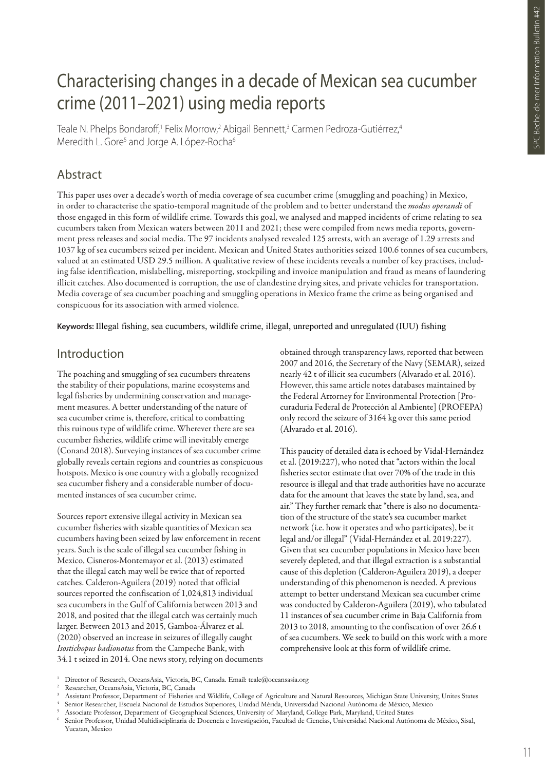# Characterising changes in a decade of Mexican sea cucumber crime (2011–2021) using media reports

Teale N. Phelps Bondaroff,<sup>1</sup> Felix Morrow,<sup>2</sup> Abigail Bennett,<sup>3</sup> Carmen Pedroza-Gutiérrez,<sup>4</sup> Meredith L. Gore<sup>5</sup> and Jorge A. López-Rocha<sup>6</sup>

# Abstract

This paper uses over a decade's worth of media coverage of sea cucumber crime (smuggling and poaching) in Mexico, in order to characterise the spatio-temporal magnitude of the problem and to better understand the *modus operandi* of those engaged in this form of wildlife crime. Towards this goal, we analysed and mapped incidents of crime relating to sea cucumbers taken from Mexican waters between 2011 and 2021; these were compiled from news media reports, government press releases and social media. The 97 incidents analysed revealed 125 arrests, with an average of 1.29 arrests and 1037 kg of sea cucumbers seized per incident. Mexican and United States authorities seized 100.6 tonnes of sea cucumbers, valued at an estimated USD 29.5 million. A qualitative review of these incidents reveals a number of key practises, including false identification, mislabelling, misreporting, stockpiling and invoice manipulation and fraud as means of laundering illicit catches. Also documented is corruption, the use of clandestine drying sites, and private vehicles for transportation. Media coverage of sea cucumber poaching and smuggling operations in Mexico frame the crime as being organised and conspicuous for its association with armed violence.

**Keywords:** Illegal fishing, sea cucumbers, wildlife crime, illegal, unreported and unregulated (IUU) fishing

# Introduction

The poaching and smuggling of sea cucumbers threatens the stability of their populations, marine ecosystems and legal fisheries by undermining conservation and management measures. A better understanding of the nature of sea cucumber crime is, therefore, critical to combatting this ruinous type of wildlife crime. Wherever there are sea cucumber fisheries, wildlife crime will inevitably emerge (Conand 2018). Surveying instances of sea cucumber crime globally reveals certain regions and countries as conspicuous hotspots. Mexico is one country with a globally recognized sea cucumber fishery and a considerable number of documented instances of sea cucumber crime.

Sources report extensive illegal activity in Mexican sea cucumber fisheries with sizable quantities of Mexican sea cucumbers having been seized by law enforcement in recent years. Such is the scale of illegal sea cucumber fishing in Mexico, Cisneros-Montemayor et al. (2013) estimated that the illegal catch may well be twice that of reported catches. Calderon-Aguilera (2019) noted that official sources reported the confiscation of 1,024,813 individual sea cucumbers in the Gulf of California between 2013 and 2018, and posited that the illegal catch was certainly much larger. Between 2013 and 2015, Gamboa-Álvarez et al. (2020) observed an increase in seizures of illegally caught *Isostichopus badionotus* from the Campeche Bank, with 34.1 t seized in 2014. One news story, relying on documents obtained through transparency laws, reported that between 2007 and 2016, the Secretary of the Navy (SEMAR), seized nearly 42 t of illicit sea cucumbers (Alvarado et al. 2016). However, this same article notes databases maintained by the Federal Attorney for Environmental Protection [Procuraduria Federal de Protección al Ambiente] (PROFEPA) only record the seizure of 3164 kg over this same period (Alvarado et al. 2016).

This paucity of detailed data is echoed by Vidal-Hernández et al. (2019:227), who noted that "actors within the local fisheries sector estimate that over 70% of the trade in this resource is illegal and that trade authorities have no accurate data for the amount that leaves the state by land, sea, and air." They further remark that "there is also no documentation of the structure of the state's sea cucumber market network (i.e. how it operates and who participates), be it legal and/or illegal" (Vidal-Hernández et al. 2019:227). Given that sea cucumber populations in Mexico have been severely depleted, and that illegal extraction is a substantial cause of this depletion (Calderon-Aguilera 2019), a deeper understanding of this phenomenon is needed. A previous attempt to better understand Mexican sea cucumber crime was conducted by Calderon-Aguilera (2019), who tabulated 11 instances of sea cucumber crime in Baja California from 2013 to 2018, amounting to the confiscation of over 26.6 t of sea cucumbers. We seek to build on this work with a more comprehensive look at this form of wildlife crime.

<sup>1</sup> Director of Research, OceansAsia, Victoria, BC, Canada. Email: teale@oceansasia.org

<sup>2</sup> Researcher, OceansAsia, Victoria, BC, Canada

<sup>3</sup> Assistant Professor, Department of Fisheries and Wildlife, College of Agriculture and Natural Resources, Michigan State University, Unites States

<sup>4</sup> Senior Researcher, Escuela Nacional de Estudios Superiores, Unidad Mérida, Universidad Nacional Autónoma de México, Mexico

<sup>5</sup> Associate Professor, Department of Geographical Sciences, University of Maryland, College Park, Maryland, United States

<sup>6</sup> Senior Professor, Unidad Multidisciplinaria de Docencia e Investigación, Facultad de Ciencias, Universidad Nacional Autónoma de México, Sisal, Yucatan, Mexico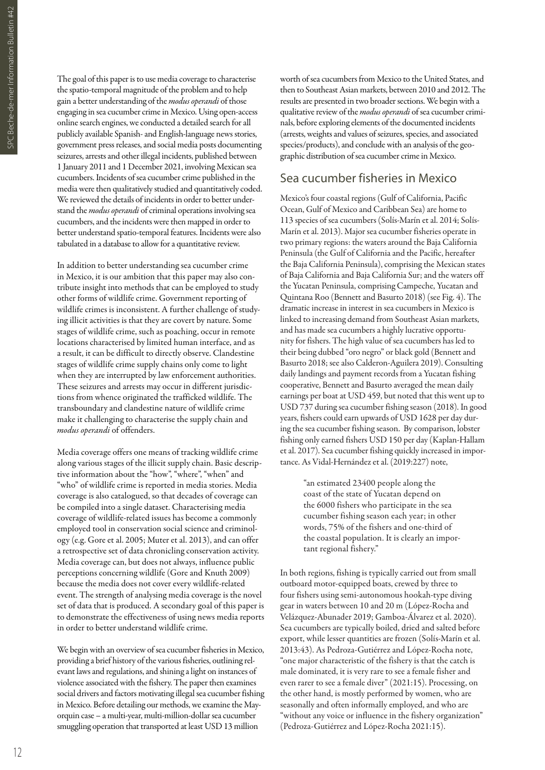The goal of this paper is to use media coverage to characterise the spatio-temporal magnitude of the problem and to help gain a better understanding of the *modus operandi* of those engaging in sea cucumber crime in Mexico. Using open-access online search engines, we conducted a detailed search for all publicly available Spanish- and English-language news stories, government press releases, and social media posts documenting seizures, arrests and other illegal incidents, published between 1 January 2011 and 1 December 2021, involving Mexican sea cucumbers. Incidents of sea cucumber crime published in the media were then qualitatively studied and quantitatively coded. We reviewed the details of incidents in order to better understand the *modus operandi* of criminal operations involving sea cucumbers, and the incidents were then mapped in order to better understand spatio-temporal features. Incidents were also tabulated in a database to allow for a quantitative review.

In addition to better understanding sea cucumber crime in Mexico, it is our ambition that this paper may also contribute insight into methods that can be employed to study other forms of wildlife crime. Government reporting of wildlife crimes is inconsistent. A further challenge of studying illicit activities is that they are covert by nature. Some stages of wildlife crime, such as poaching, occur in remote locations characterised by limited human interface, and as a result, it can be difficult to directly observe. Clandestine stages of wildlife crime supply chains only come to light when they are interrupted by law enforcement authorities. These seizures and arrests may occur in different jurisdictions from whence originated the trafficked wildlife. The transboundary and clandestine nature of wildlife crime make it challenging to characterise the supply chain and *modus operandi* of offenders.

Media coverage offers one means of tracking wildlife crime along various stages of the illicit supply chain. Basic descriptive information about the "how", "where", "when" and "who" of wildlife crime is reported in media stories. Media coverage is also catalogued, so that decades of coverage can be compiled into a single dataset. Characterising media coverage of wildlife-related issues has become a commonly employed tool in conservation social science and criminology (e.g. Gore et al. 2005; Muter et al. 2013), and can offer a retrospective set of data chronicling conservation activity. Media coverage can, but does not always, influence public perceptions concerning wildlife (Gore and Knuth 2009) because the media does not cover every wildlife-related event. The strength of analysing media coverage is the novel set of data that is produced. A secondary goal of this paper is to demonstrate the effectiveness of using news media reports in order to better understand wildlife crime.

We begin with an overview of sea cucumber fisheries in Mexico, providing a brief history of the various fisheries, outlining relevant laws and regulations, and shining a light on instances of violence associated with the fishery. The paper then examines social drivers and factors motivating illegal sea cucumber fishing in Mexico. Before detailing our methods, we examine the Mayorquin case – a multi-year, multi-million-dollar sea cucumber smuggling operation that transported at least USD 13 million

worth of sea cucumbers from Mexico to the United States, and then to Southeast Asian markets, between 2010 and 2012. The results are presented in two broader sections. We begin with a qualitative review of the *modus operandi* of sea cucumber criminals, before exploring elements of the documented incidents (arrests, weights and values of seizures, species, and associated species/products), and conclude with an analysis of the geographic distribution of sea cucumber crime in Mexico.

### Sea cucumber fisheries in Mexico

Mexico's four coastal regions (Gulf of California, Pacific Ocean, Gulf of Mexico and Caribbean Sea) are home to 113 species of sea cucumbers (Solís-Marín et al. 2014; Solís-Marín et al. 2013). Major sea cucumber fisheries operate in two primary regions: the waters around the Baja California Peninsula (the Gulf of California and the Pacific, hereafter the Baja California Peninsula), comprising the Mexican states of Baja California and Baja California Sur; and the waters off the Yucatan Peninsula, comprising Campeche, Yucatan and Quintana Roo (Bennett and Basurto 2018) (see Fig. 4). The dramatic increase in interest in sea cucumbers in Mexico is linked to increasing demand from Southeast Asian markets, and has made sea cucumbers a highly lucrative opportunity for fishers. The high value of sea cucumbers has led to their being dubbed "oro negro" or black gold (Bennett and Basurto 2018; see also Calderon-Aguilera 2019). Consulting daily landings and payment records from a Yucatan fishing cooperative, Bennett and Basurto averaged the mean daily earnings per boat at USD 459, but noted that this went up to USD 737 during sea cucumber fishing season (2018). In good years, fishers could earn upwards of USD 1628 per day during the sea cucumber fishing season. By comparison, lobster fishing only earned fishers USD 150 per day (Kaplan-Hallam et al. 2017). Sea cucumber fishing quickly increased in importance. As Vidal-Hernández et al. (2019:227) note,

> "an estimated 23400 people along the coast of the state of Yucatan depend on the 6000 fishers who participate in the sea cucumber fishing season each year; in other words, 75% of the fishers and one-third of the coastal population. It is clearly an important regional fishery."

In both regions, fishing is typically carried out from small outboard motor-equipped boats, crewed by three to four fishers using semi-autonomous hookah-type diving gear in waters between 10 and 20 m (López-Rocha and Velázquez-Abunader 2019; Gamboa-Álvarez et al. 2020). Sea cucumbers are typically boiled, dried and salted before export, while lesser quantities are frozen (Solís-Marín et al. 2013:43). As Pedroza-Gutiérrez and López-Rocha note, "one major characteristic of the fishery is that the catch is male dominated, it is very rare to see a female fisher and even rarer to see a female diver" (2021:15). Processing, on the other hand, is mostly performed by women, who are seasonally and often informally employed, and who are "without any voice or influence in the fishery organization" (Pedroza-Gutiérrez and López-Rocha 2021:15).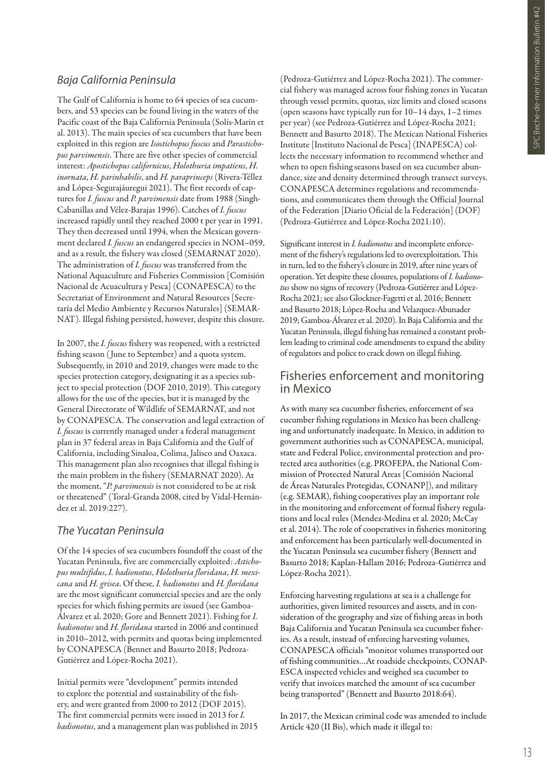# *Baja California Peninsula*

The Gulf of California is home to 64 species of sea cucumbers, and 53 species can be found living in the waters of the Pacific coast of the Baja California Peninsula (Solís-Marín et al. 2013). The main species of sea cucumbers that have been exploited in this region are *Isostichopus fuscus* and *Parastichopus parvimensis*. There are five other species of commercial interest: *Apostichopus californicus*, *Holothuria impatiens*, *H. inornata*, *H. parinhabilis*, and *H. paraprinceps* (Rivera-Téllez and López-Segurajáuregui 2021). The first records of captures for *I. fuscus* and *P. parvimensis* date from 1988 (Singh-Cabanillas and Vélez-Barajas 1996). Catches of *I. fuscus* increased rapidly until they reached 2000 t per year in 1991. They then decreased until 1994, when the Mexican government declared *I. fuscus* an endangered species in NOM–059, and as a result, the fishery was closed (SEMARNAT 2020). The administration of *I. fuscus* was transferred from the National Aquaculture and Fisheries Commission [Comisión Nacional de Acuacultura y Pesca] (CONAPESCA) to the Secretariat of Environment and Natural Resources [Secretaría del Medio Ambiente y Recursos Naturales] (SEMAR-NAT). Illegal fishing persisted, however, despite this closure.

In 2007, the *I. fuscus* fishery was reopened, with a restricted fishing season (June to September) and a quota system. Subsequently, in 2010 and 2019, changes were made to the species protection category, designating it as a species subject to special protection (DOF 2010, 2019). This category allows for the use of the species, but it is managed by the General Directorate of Wildlife of SEMARNAT, and not by CONAPESCA. The conservation and legal extraction of *I. fuscus* is currently managed under a federal management plan in 37 federal areas in Baja California and the Gulf of California, including Sinaloa, Colima, Jalisco and Oaxaca. This management plan also recognises that illegal fishing is the main problem in the fishery (SEMARNAT 2020). At the moment, "*P. parvimensis* is not considered to be at risk or threatened" (Toral-Granda 2008, cited by Vidal-Hernández et al. 2019:227).

# *The Yucatan Peninsula*

Of the 14 species of sea cucumbers foundoff the coast of the Yucatan Peninsula, five are commercially exploited: *Astichopus multifidus*, *I. badionotus*, *Holothuria floridana*, *H. mexicana* and *H. grisea*. Of these, *I. badionotus* and *H. floridana* are the most significant commercial species and are the only species for which fishing permits are issued (see Gamboa-Álvarez et al. 2020; Gore and Bennett 2021). Fishing for *I. badionotus* and *H. floridana* started in 2006 and continued in 2010–2012, with permits and quotas being implemented by CONAPESCA (Bennet and Basurto 2018; Pedroza-Gutiérrez and López-Rocha 2021).

Initial permits were "development" permits intended to explore the potential and sustainability of the fishery, and were granted from 2000 to 2012 (DOF 2015). The first commercial permits were issued in 2013 for *I. badionotus*, and a management plan was published in 2015

(Pedroza-Gutiérrez and López-Rocha 2021). The commercial fishery was managed across four fishing zones in Yucatan through vessel permits, quotas, size limits and closed seasons (open seasons have typically run for 10–14 days, 1–2 times per year) (see Pedroza-Gutiérrez and López-Rocha 2021; Bennett and Basurto 2018). The Mexican National Fisheries Institute [Instituto Nacional de Pesca] (INAPESCA) collects the necessary information to recommend whether and when to open fishing seasons based on sea cucumber abundance, size and density determined through transect surveys. CONAPESCA determines regulations and recommendations, and communicates them through the Official Journal of the Federation [Diario Oficial de la Federación] (DOF) (Pedroza-Gutiérrez and López-Rocha 2021:10).

Significant interest in *I. badionotus* and incomplete enforcement of the fishery's regulations led to overexploitation. This in turn, led to the fishery's closure in 2019, after nine years of operation. Yet despite these closures, populations of *I. badionotus* show no signs of recovery (Pedroza-Gutiérrez and López-Rocha 2021; see also Glockner-Fagetti et al. 2016; Bennett and Basurto 2018; López-Rocha and Velazquez-Abunader 2019; Gamboa-Álvarez et al. 2020). In Baja California and the Yucatan Peninsula, illegal fishing has remained a constant problem leading to criminal code amendments to expand the ability of regulators and police to crack down on illegal fishing.

# Fisheries enforcement and monitoring in Mexico

As with many sea cucumber fisheries, enforcement of sea cucumber fishing regulations in Mexico has been challenging and unfortunately inadequate. In Mexico, in addition to government authorities such as CONAPESCA, municipal, state and Federal Police, environmental protection and protected area authorities (e.g. PROFEPA, the National Commission of Protected Natural Areas [Comisión Nacional de Áreas Naturales Protegidas, CONANP]), and military (e.g. SEMAR), fishing cooperatives play an important role in the monitoring and enforcement of formal fishery regulations and local rules (Mendez-Medina et al. 2020; McCay et al. 2014). The role of cooperatives in fisheries monitoring and enforcement has been particularly well-documented in the Yucatan Peninsula sea cucumber fishery (Bennett and Basurto 2018; Kaplan-Hallam 2016; Pedroza-Gutiérrez and López-Rocha 2021).

Enforcing harvesting regulations at sea is a challenge for authorities, given limited resources and assets, and in consideration of the geography and size of fishing areas in both Baja California and Yucatan Peninsula sea cucumber fisheries. As a result, instead of enforcing harvesting volumes, CONAPESCA officials "monitor volumes transported out of fishing communities…At roadside checkpoints, CONAP-ESCA inspected vehicles and weighed sea cucumber to verify that invoices matched the amount of sea cucumber being transported" (Bennett and Basurto 2018:64).

In 2017, the Mexican criminal code was amended to include Article 420 (II Bis), which made it illegal to: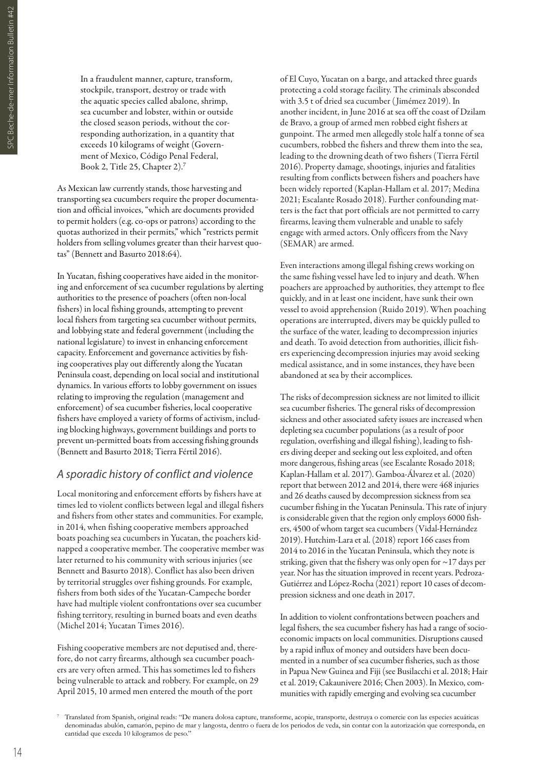In a fraudulent manner, capture, transform, stockpile, transport, destroy or trade with the aquatic species called abalone, shrimp, sea cucumber and lobster, within or outside the closed season periods, without the corresponding authorization, in a quantity that exceeds 10 kilograms of weight (Government of Mexico, Código Penal Federal, Book 2, Title 25, Chapter 2).<sup>7</sup>

As Mexican law currently stands, those harvesting and transporting sea cucumbers require the proper documentation and official invoices, "which are documents provided to permit holders (e.g. co-ops or patrons) according to the quotas authorized in their permits," which "restricts permit holders from selling volumes greater than their harvest quotas" (Bennett and Basurto 2018:64).

In Yucatan, fishing cooperatives have aided in the monitoring and enforcement of sea cucumber regulations by alerting authorities to the presence of poachers (often non-local fishers) in local fishing grounds, attempting to prevent local fishers from targeting sea cucumber without permits, and lobbying state and federal government (including the national legislature) to invest in enhancing enforcement capacity. Enforcement and governance activities by fishing cooperatives play out differently along the Yucatan Peninsula coast, depending on local social and institutional dynamics. In various efforts to lobby government on issues relating to improving the regulation (management and enforcement) of sea cucumber fisheries, local cooperative fishers have employed a variety of forms of activism, including blocking highways, government buildings and ports to prevent un-permitted boats from accessing fishing grounds (Bennett and Basurto 2018; Tierra Fértil 2016).

#### *A sporadic history of conflict and violence*

Local monitoring and enforcement efforts by fishers have at times led to violent conflicts between legal and illegal fishers and fishers from other states and communities. For example, in 2014, when fishing cooperative members approached boats poaching sea cucumbers in Yucatan, the poachers kidnapped a cooperative member. The cooperative member was later returned to his community with serious injuries (see Bennett and Basurto 2018). Conflict has also been driven by territorial struggles over fishing grounds. For example, fishers from both sides of the Yucatan-Campeche border have had multiple violent confrontations over sea cucumber fishing territory, resulting in burned boats and even deaths (Michel 2014; Yucatan Times 2016).

Fishing cooperative members are not deputised and, therefore, do not carry firearms, although sea cucumber poachers are very often armed. This has sometimes led to fishers being vulnerable to attack and robbery. For example, on 29 April 2015, 10 armed men entered the mouth of the port

of El Cuyo, Yucatan on a barge, and attacked three guards protecting a cold storage facility. The criminals absconded with 3.5 t of dried sea cucumber ( Jimémez 2019). In another incident, in June 2016 at sea off the coast of Dzilam de Bravo, a group of armed men robbed eight fishers at gunpoint. The armed men allegedly stole half a tonne of sea cucumbers, robbed the fishers and threw them into the sea, leading to the drowning death of two fishers (Tierra Fértil 2016). Property damage, shootings, injuries and fatalities resulting from conflicts between fishers and poachers have been widely reported (Kaplan-Hallam et al. 2017; Medina 2021; Escalante Rosado 2018). Further confounding matters is the fact that port officials are not permitted to carry firearms, leaving them vulnerable and unable to safely engage with armed actors. Only officers from the Navy (SEMAR) are armed.

Even interactions among illegal fishing crews working on the same fishing vessel have led to injury and death. When poachers are approached by authorities, they attempt to flee quickly, and in at least one incident, have sunk their own vessel to avoid apprehension (Ruido 2019). When poaching operations are interrupted, divers may be quickly pulled to the surface of the water, leading to decompression injuries and death. To avoid detection from authorities, illicit fishers experiencing decompression injuries may avoid seeking medical assistance, and in some instances, they have been abandoned at sea by their accomplices.

The risks of decompression sickness are not limited to illicit sea cucumber fisheries. The general risks of decompression sickness and other associated safety issues are increased when depleting sea cucumber populations (as a result of poor regulation, overfishing and illegal fishing), leading to fishers diving deeper and seeking out less exploited, and often more dangerous, fishing areas (see Escalante Rosado 2018; Kaplan-Hallam et al. 2017). Gamboa-Álvarez et al. (2020) report that between 2012 and 2014, there were 468 injuries and 26 deaths caused by decompression sickness from sea cucumber fishing in the Yucatan Peninsula. This rate of injury is considerable given that the region only employs 6000 fishers, 4500 of whom target sea cucumbers (Vidal-Hernández 2019). Hutchim-Lara et al. (2018) report 166 cases from 2014 to 2016 in the Yucatan Peninsula, which they note is striking, given that the fishery was only open for ~17 days per year. Nor has the situation improved in recent years. Pedroza-Gutiérrez and López-Rocha (2021) report 10 cases of decompression sickness and one death in 2017.

In addition to violent confrontations between poachers and legal fishers, the sea cucumber fishery has had a range of socioeconomic impacts on local communities. Disruptions caused by a rapid influx of money and outsiders have been documented in a number of sea cucumber fisheries, such as those in Papua New Guinea and Fiji (see Busilacchi et al. 2018; Hair et al. 2019; Cakaunivere 2016; Chen 2003). In Mexico, communities with rapidly emerging and evolving sea cucumber

<sup>7</sup> Translated from Spanish, original reads: "De manera dolosa capture, transforme, acopie, transporte, destruya o comercie con las especies acuáticas denominadas abulón, camarón, pepino de mar y langosta, dentro o fuera de los periodos de veda, sin contar con la autorización que corresponda, en cantidad que exceda 10 kilogramos de peso."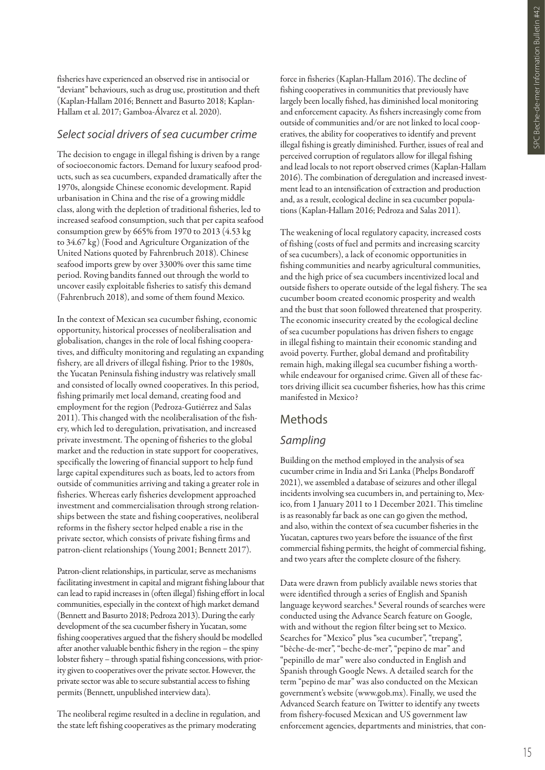fisheries have experienced an observed rise in antisocial or "deviant" behaviours, such as drug use, prostitution and theft (Kaplan-Hallam 2016; Bennett and Basurto 2018; Kaplan-Hallam et al. 2017; Gamboa-Álvarez et al. 2020).

#### *Select social drivers of sea cucumber crime*

The decision to engage in illegal fishing is driven by a range of socioeconomic factors. Demand for luxury seafood products, such as sea cucumbers, expanded dramatically after the 1970s, alongside Chinese economic development. Rapid urbanisation in China and the rise of a growing middle class, along with the depletion of traditional fisheries, led to increased seafood consumption, such that per capita seafood consumption grew by 665% from 1970 to 2013 (4.53 kg to 34.67 kg) (Food and Agriculture Organization of the United Nations quoted by Fahrenbruch 2018). Chinese seafood imports grew by over 3300% over this same time period. Roving bandits fanned out through the world to uncover easily exploitable fisheries to satisfy this demand (Fahrenbruch 2018), and some of them found Mexico.

In the context of Mexican sea cucumber fishing, economic opportunity, historical processes of neoliberalisation and globalisation, changes in the role of local fishing cooperatives, and difficulty monitoring and regulating an expanding fishery, are all drivers of illegal fishing. Prior to the 1980s, the Yucatan Peninsula fishing industry was relatively small and consisted of locally owned cooperatives. In this period, fishing primarily met local demand, creating food and employment for the region (Pedroza-Gutiérrez and Salas 2011). This changed with the neoliberalisation of the fishery, which led to deregulation, privatisation, and increased private investment. The opening of fisheries to the global market and the reduction in state support for cooperatives, specifically the lowering of financial support to help fund large capital expenditures such as boats, led to actors from outside of communities arriving and taking a greater role in fisheries. Whereas early fisheries development approached investment and commercialisation through strong relationships between the state and fishing cooperatives, neoliberal reforms in the fishery sector helped enable a rise in the private sector, which consists of private fishing firms and patron-client relationships (Young 2001; Bennett 2017).

Patron-client relationships, in particular, serve as mechanisms facilitating investment in capital and migrant fishing labour that can lead to rapid increases in (often illegal) fishing effort in local communities, especially in the context of high market demand (Bennett and Basurto 2018; Pedroza 2013). During the early development of the sea cucumber fishery in Yucatan, some fishing cooperatives argued that the fishery should be modelled after another valuable benthic fishery in the region – the spiny lobster fishery – through spatial fishing concessions, with priority given to cooperatives over the private sector. However, the private sector was able to secure substantial access to fishing permits (Bennett, unpublished interview data).

The neoliberal regime resulted in a decline in regulation, and the state left fishing cooperatives as the primary moderating

force in fisheries (Kaplan-Hallam 2016). The decline of fishing cooperatives in communities that previously have largely been locally fished, has diminished local monitoring and enforcement capacity. As fishers increasingly come from outside of communities and/or are not linked to local cooperatives, the ability for cooperatives to identify and prevent illegal fishing is greatly diminished. Further, issues of real and perceived corruption of regulators allow for illegal fishing and lead locals to not report observed crimes (Kaplan-Hallam 2016). The combination of deregulation and increased investment lead to an intensification of extraction and production and, as a result, ecological decline in sea cucumber populations (Kaplan-Hallam 2016; Pedroza and Salas 2011).

The weakening of local regulatory capacity, increased costs of fishing (costs of fuel and permits and increasing scarcity of sea cucumbers), a lack of economic opportunities in fishing communities and nearby agricultural communities, and the high price of sea cucumbers incentivized local and outside fishers to operate outside of the legal fishery. The sea cucumber boom created economic prosperity and wealth and the bust that soon followed threatened that prosperity. The economic insecurity created by the ecological decline of sea cucumber populations has driven fishers to engage in illegal fishing to maintain their economic standing and avoid poverty. Further, global demand and profitability remain high, making illegal sea cucumber fishing a worthwhile endeavour for organised crime. Given all of these factors driving illicit sea cucumber fisheries, how has this crime manifested in Mexico?

#### Methods

#### *Sampling*

Building on the method employed in the analysis of sea cucumber crime in India and Sri Lanka (Phelps Bondaroff 2021), we assembled a database of seizures and other illegal incidents involving sea cucumbers in, and pertaining to, Mexico, from 1 January 2011 to 1 December 2021. This timeline is as reasonably far back as one can go given the method, and also, within the context of sea cucumber fisheries in the Yucatan, captures two years before the issuance of the first commercial fishing permits, the height of commercial fishing, and two years after the complete closure of the fishery.

Data were drawn from publicly available news stories that were identified through a series of English and Spanish language keyword searches.<sup>8</sup> Several rounds of searches were conducted using the Advance Search feature on Google, with and without the region filter being set to Mexico. Searches for "Mexico" plus "sea cucumber", "trepang", "bêche-de-mer", "beche-de-mer", "pepino de mar" and "pepinillo de mar" were also conducted in English and Spanish through Google News. A detailed search for the term "pepino de mar" was also conducted on the Mexican government's website (www.gob.mx). Finally, we used the Advanced Search feature on Twitter to identify any tweets from fishery-focused Mexican and US government law enforcement agencies, departments and ministries, that con-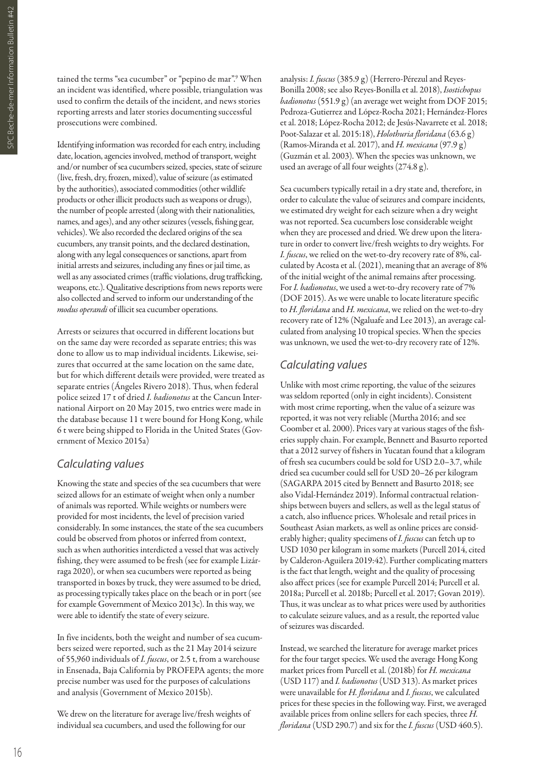tained the terms "sea cucumber" or "pepino de mar".9 When an incident was identified, where possible, triangulation was used to confirm the details of the incident, and news stories reporting arrests and later stories documenting successful prosecutions were combined.

Identifying information was recorded for each entry, including date, location, agencies involved, method of transport, weight and/or number of sea cucumbers seized, species, state of seizure (live, fresh, dry, frozen, mixed), value of seizure (as estimated by the authorities), associated commodities (other wildlife products or other illicit products such as weapons or drugs), the number of people arrested (along with their nationalities, names, and ages), and any other seizures (vessels, fishing gear, vehicles). We also recorded the declared origins of the sea cucumbers, any transit points, and the declared destination, along with any legal consequences or sanctions, apart from initial arrests and seizures, including any fines or jail time, as well as any associated crimes (traffic violations, drug trafficking, weapons, etc.). Qualitative descriptions from news reports were also collected and served to inform our understanding of the *modus operandi* of illicit sea cucumber operations.

Arrests or seizures that occurred in different locations but on the same day were recorded as separate entries; this was done to allow us to map individual incidents. Likewise, seizures that occurred at the same location on the same date, but for which different details were provided, were treated as separate entries (Ángeles Rivero 2018). Thus, when federal police seized 17 t of dried *I. badionotus* at the Cancun International Airport on 20 May 2015, two entries were made in the database because 11 t were bound for Hong Kong, while 6 t were being shipped to Florida in the United States (Government of Mexico 2015a)

# *Calculating values*

Knowing the state and species of the sea cucumbers that were seized allows for an estimate of weight when only a number of animals was reported. While weights or numbers were provided for most incidents, the level of precision varied considerably. In some instances, the state of the sea cucumbers could be observed from photos or inferred from context, such as when authorities interdicted a vessel that was actively fishing, they were assumed to be fresh (see for example Lizárraga 2020), or when sea cucumbers were reported as being transported in boxes by truck, they were assumed to be dried, as processing typically takes place on the beach or in port (see for example Government of Mexico 2013c). In this way, we were able to identify the state of every seizure.

In five incidents, both the weight and number of sea cucumbers seized were reported, such as the 21 May 2014 seizure of 55,960 individuals of *I. fuscus*, or 2.5 t, from a warehouse in Ensenada, Baja California by PROFEPA agents; the more precise number was used for the purposes of calculations and analysis (Government of Mexico 2015b).

We drew on the literature for average live/fresh weights of individual sea cucumbers, and used the following for our

analysis: *I. fuscus* (385.9 g) (Herrero-Pérezul and Reyes-Bonilla 2008; see also Reyes-Bonilla et al. 2018), *Isostichopus badionotus* (551.9 g) (an average wet weight from DOF 2015; Pedroza-Gutierrez and López-Rocha 2021; Hernández-Flores et al. 2018; López-Rocha 2012; de Jesús-Navarrete et al. 2018; Poot-Salazar et al. 2015:18), *Holothuria floridana* (63.6 g) (Ramos-Miranda et al. 2017), and *H. mexicana* (97.9 g) (Guzmán et al. 2003). When the species was unknown, we used an average of all four weights (274.8 g).

Sea cucumbers typically retail in a dry state and, therefore, in order to calculate the value of seizures and compare incidents, we estimated dry weight for each seizure when a dry weight was not reported. Sea cucumbers lose considerable weight when they are processed and dried. We drew upon the literature in order to convert live/fresh weights to dry weights. For *I. fuscus*, we relied on the wet-to-dry recovery rate of 8%, calculated by Acosta et al. (2021), meaning that an average of 8% of the initial weight of the animal remains after processing. For *I. badionotus*, we used a wet-to-dry recovery rate of 7% (DOF 2015). As we were unable to locate literature specific to *H. floridana* and *H. mexicana*, we relied on the wet-to-dry recovery rate of 12% (Ngaluafe and Lee 2013), an average calculated from analysing 10 tropical species. When the species was unknown, we used the wet-to-dry recovery rate of 12%.

# *Calculating values*

Unlike with most crime reporting, the value of the seizures was seldom reported (only in eight incidents). Consistent with most crime reporting, when the value of a seizure was reported, it was not very reliable (Murtha 2016; and see Coomber et al. 2000). Prices vary at various stages of the fisheries supply chain. For example, Bennett and Basurto reported that a 2012 survey of fishers in Yucatan found that a kilogram of fresh sea cucumbers could be sold for USD 2.0–3.7, while dried sea cucumber could sell for USD 20–26 per kilogram (SAGARPA 2015 cited by Bennett and Basurto 2018; see also Vidal-Hernández 2019). Informal contractual relationships between buyers and sellers, as well as the legal status of a catch, also influence prices. Wholesale and retail prices in Southeast Asian markets, as well as online prices are considerably higher; quality specimens of *I. fuscus* can fetch up to USD 1030 per kilogram in some markets (Purcell 2014, cited by Calderon-Aguilera 2019:42). Further complicating matters is the fact that length, weight and the quality of processing also affect prices (see for example Purcell 2014; Purcell et al. 2018a; Purcell et al. 2018b; Purcell et al. 2017; Govan 2019). Thus, it was unclear as to what prices were used by authorities to calculate seizure values, and as a result, the reported value of seizures was discarded.

Instead, we searched the literature for average market prices for the four target species. We used the average Hong Kong market prices from Purcell et al. (2018b) for *H. mexicana* (USD 117) and *I. badionotus* (USD 313). As market prices were unavailable for *H. floridana* and *I. fuscus*, we calculated prices for these species in the following way. First, we averaged available prices from online sellers for each species, three *H. floridana* (USD 290.7) and six for the *I. fuscus* (USD 460.5).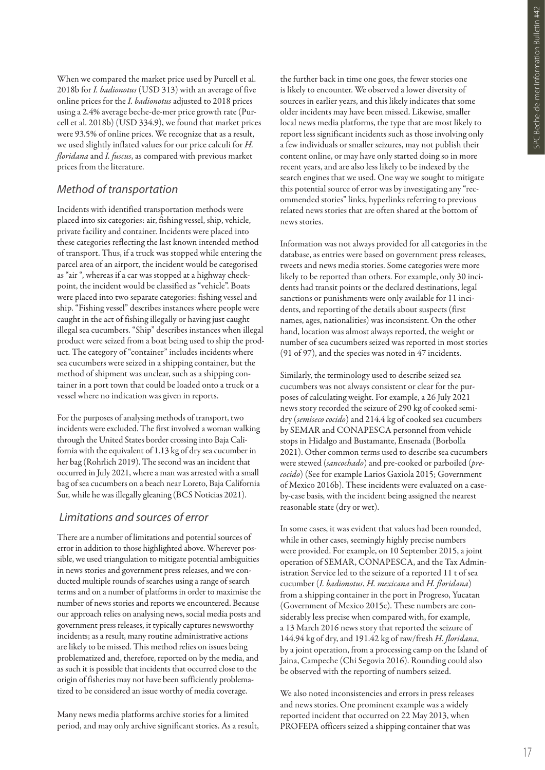When we compared the market price used by Purcell et al. 2018b for *I. badionotus* (USD 313) with an average of five online prices for the *I. badionotus* adjusted to 2018 prices using a 2.4% average beche-de-mer price growth rate (Purcell et al. 2018b) (USD 334.9), we found that market prices were 93.5% of online prices. We recognize that as a result, we used slightly inflated values for our price calculi for *H. floridana* and *I. fuscus*, as compared with previous market prices from the literature.

#### *Method of transportation*

Incidents with identified transportation methods were placed into six categories: air, fishing vessel, ship, vehicle, private facility and container. Incidents were placed into these categories reflecting the last known intended method of transport. Thus, if a truck was stopped while entering the parcel area of an airport, the incident would be categorised as "air ", whereas if a car was stopped at a highway checkpoint, the incident would be classified as "vehicle". Boats were placed into two separate categories: fishing vessel and ship. "Fishing vessel" describes instances where people were caught in the act of fishing illegally or having just caught illegal sea cucumbers. "Ship" describes instances when illegal product were seized from a boat being used to ship the product. The category of "container" includes incidents where sea cucumbers were seized in a shipping container, but the method of shipment was unclear, such as a shipping container in a port town that could be loaded onto a truck or a vessel where no indication was given in reports.

For the purposes of analysing methods of transport, two incidents were excluded. The first involved a woman walking through the United States border crossing into Baja California with the equivalent of 1.13 kg of dry sea cucumber in her bag (Rohrlich 2019). The second was an incident that occurred in July 2021, where a man was arrested with a small bag of sea cucumbers on a beach near Loreto, Baja California Sur, while he was illegally gleaning (BCS Noticias 2021).

#### *Limitations and sources of error*

There are a number of limitations and potential sources of error in addition to those highlighted above. Wherever possible, we used triangulation to mitigate potential ambiguities in news stories and government press releases, and we conducted multiple rounds of searches using a range of search terms and on a number of platforms in order to maximise the number of news stories and reports we encountered. Because our approach relies on analysing news, social media posts and government press releases, it typically captures newsworthy incidents; as a result, many routine administrative actions are likely to be missed. This method relies on issues being problematized and, therefore, reported on by the media, and as such it is possible that incidents that occurred close to the origin of fisheries may not have been sufficiently problematized to be considered an issue worthy of media coverage.

Many news media platforms archive stories for a limited period, and may only archive significant stories. As a result,

the further back in time one goes, the fewer stories one is likely to encounter. We observed a lower diversity of sources in earlier years, and this likely indicates that some older incidents may have been missed. Likewise, smaller local news media platforms, the type that are most likely to report less significant incidents such as those involving only a few individuals or smaller seizures, may not publish their content online, or may have only started doing so in more recent years, and are also less likely to be indexed by the search engines that we used. One way we sought to mitigate this potential source of error was by investigating any "recommended stories" links, hyperlinks referring to previous related news stories that are often shared at the bottom of news stories.

Information was not always provided for all categories in the database, as entries were based on government press releases, tweets and news media stories. Some categories were more likely to be reported than others. For example, only 30 incidents had transit points or the declared destinations, legal sanctions or punishments were only available for 11 incidents, and reporting of the details about suspects (first names, ages, nationalities) was inconsistent. On the other hand, location was almost always reported, the weight or number of sea cucumbers seized was reported in most stories (91 of 97), and the species was noted in 47 incidents.

Similarly, the terminology used to describe seized sea cucumbers was not always consistent or clear for the purposes of calculating weight. For example, a 26 July 2021 news story recorded the seizure of 290 kg of cooked semidry (*semiseco cocido*) and 214.4 kg of cooked sea cucumbers by SEMAR and CONAPESCA personnel from vehicle stops in Hidalgo and Bustamante, Ensenada (Borbolla 2021). Other common terms used to describe sea cucumbers were stewed (*sancochado*) and pre-cooked or parboiled (*precocido*) (See for example Larios Gaxiola 2015; Government of Mexico 2016b). These incidents were evaluated on a caseby-case basis, with the incident being assigned the nearest reasonable state (dry or wet).

In some cases, it was evident that values had been rounded, while in other cases, seemingly highly precise numbers were provided. For example, on 10 September 2015, a joint operation of SEMAR, CONAPESCA, and the Tax Administration Service led to the seizure of a reported 11 t of sea cucumber (*I. badionotus*, *H. mexicana* and *H. floridana*) from a shipping container in the port in Progreso, Yucatan (Government of Mexico 2015c). These numbers are considerably less precise when compared with, for example, a 13 March 2016 news story that reported the seizure of 144.94 kg of dry, and 191.42 kg of raw/fresh *H. floridana*, by a joint operation, from a processing camp on the Island of Jaina, Campeche (Chi Segovia 2016). Rounding could also be observed with the reporting of numbers seized.

We also noted inconsistencies and errors in press releases and news stories. One prominent example was a widely reported incident that occurred on 22 May 2013, when PROFEPA officers seized a shipping container that was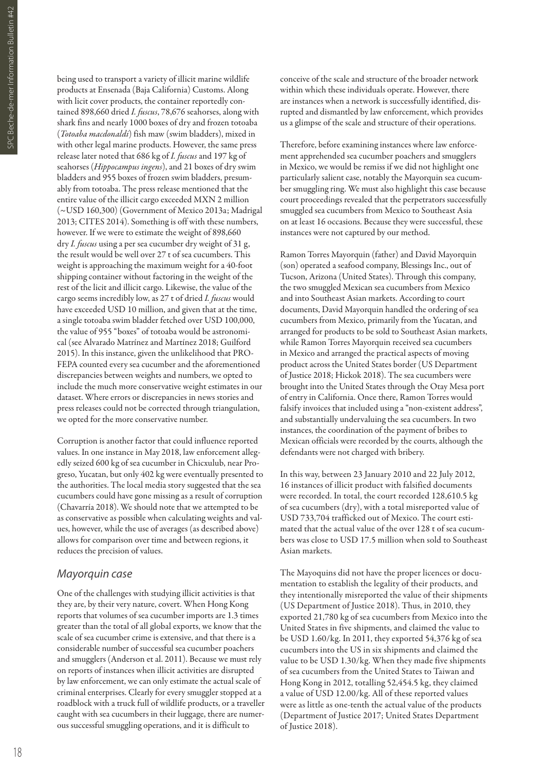being used to transport a variety of illicit marine wildlife products at Ensenada (Baja California) Customs. Along with licit cover products, the container reportedly contained 898,660 dried *I. fuscus*, 78,676 seahorses, along with shark fins and nearly 1000 boxes of dry and frozen totoaba (*Totoaba macdonaldi*) fish maw (swim bladders), mixed in with other legal marine products. However, the same press release later noted that 686 kg of *I. fuscus* and 197 kg of seahorses (*Hippocampus ingens*), and 21 boxes of dry swim bladders and 955 boxes of frozen swim bladders, presumably from totoaba. The press release mentioned that the entire value of the illicit cargo exceeded MXN 2 million (~USD 160,300) (Government of Mexico 2013a; Madrigal 2013; CITES 2014). Something is off with these numbers, however. If we were to estimate the weight of 898,660 dry *I. fuscus* using a per sea cucumber dry weight of 31 g, the result would be well over 27 t of sea cucumbers. This weight is approaching the maximum weight for a 40-foot shipping container without factoring in the weight of the rest of the licit and illicit cargo. Likewise, the value of the cargo seems incredibly low, as 27 t of dried *I. fuscus* would have exceeded USD 10 million, and given that at the time, a single totoaba swim bladder fetched over USD 100,000, the value of 955 "boxes" of totoaba would be astronomical (see Alvarado Matrínez and Martínez 2018; Guilford 2015). In this instance, given the unlikelihood that PRO-FEPA counted every sea cucumber and the aforementioned discrepancies between weights and numbers, we opted to include the much more conservative weight estimates in our dataset. Where errors or discrepancies in news stories and press releases could not be corrected through triangulation, we opted for the more conservative number.

Corruption is another factor that could influence reported values. In one instance in May 2018, law enforcement allegedly seized 600 kg of sea cucumber in Chicxulub, near Progreso, Yucatan, but only 402 kg were eventually presented to the authorities. The local media story suggested that the sea cucumbers could have gone missing as a result of corruption (Chavarría 2018). We should note that we attempted to be as conservative as possible when calculating weights and values, however, while the use of averages (as described above) allows for comparison over time and between regions, it reduces the precision of values.

#### *Mayorquin case*

One of the challenges with studying illicit activities is that they are, by their very nature, covert. When Hong Kong reports that volumes of sea cucumber imports are 1.3 times greater than the total of all global exports, we know that the scale of sea cucumber crime is extensive, and that there is a considerable number of successful sea cucumber poachers and smugglers (Anderson et al. 2011). Because we must rely on reports of instances when illicit activities are disrupted by law enforcement, we can only estimate the actual scale of criminal enterprises. Clearly for every smuggler stopped at a roadblock with a truck full of wildlife products, or a traveller caught with sea cucumbers in their luggage, there are numerous successful smuggling operations, and it is difficult to

conceive of the scale and structure of the broader network within which these individuals operate. However, there are instances when a network is successfully identified, disrupted and dismantled by law enforcement, which provides us a glimpse of the scale and structure of their operations.

Therefore, before examining instances where law enforcement apprehended sea cucumber poachers and smugglers in Mexico, we would be remiss if we did not highlight one particularly salient case, notably the Mayorquin sea cucumber smuggling ring. We must also highlight this case because court proceedings revealed that the perpetrators successfully smuggled sea cucumbers from Mexico to Southeast Asia on at least 16 occasions. Because they were successful, these instances were not captured by our method.

Ramon Torres Mayorquin (father) and David Mayorquin (son) operated a seafood company, Blessings Inc., out of Tucson, Arizona (United States). Through this company, the two smuggled Mexican sea cucumbers from Mexico and into Southeast Asian markets. According to court documents, David Mayorquin handled the ordering of sea cucumbers from Mexico, primarily from the Yucatan, and arranged for products to be sold to Southeast Asian markets, while Ramon Torres Mayorquin received sea cucumbers in Mexico and arranged the practical aspects of moving product across the United States border (US Department of Justice 2018; Hickok 2018). The sea cucumbers were brought into the United States through the Otay Mesa port of entry in California. Once there, Ramon Torres would falsify invoices that included using a "non-existent address", and substantially undervaluing the sea cucumbers. In two instances, the coordination of the payment of bribes to Mexican officials were recorded by the courts, although the defendants were not charged with bribery.

In this way, between 23 January 2010 and 22 July 2012, 16 instances of illicit product with falsified documents were recorded. In total, the court recorded 128,610.5 kg of sea cucumbers (dry), with a total misreported value of USD 733,704 trafficked out of Mexico. The court estimated that the actual value of the over 128 t of sea cucumbers was close to USD 17.5 million when sold to Southeast Asian markets.

The Mayoquins did not have the proper licences or documentation to establish the legality of their products, and they intentionally misreported the value of their shipments (US Department of Justice 2018). Thus, in 2010, they exported 21,780 kg of sea cucumbers from Mexico into the United States in five shipments, and claimed the value to be USD 1.60/kg. In 2011, they exported 54,376 kg of sea cucumbers into the US in six shipments and claimed the value to be USD 1.30/kg. When they made five shipments of sea cucumbers from the United States to Taiwan and Hong Kong in 2012, totalling 52,454.5 kg, they claimed a value of USD 12.00/kg. All of these reported values were as little as one-tenth the actual value of the products (Department of Justice 2017; United States Department of Justice 2018).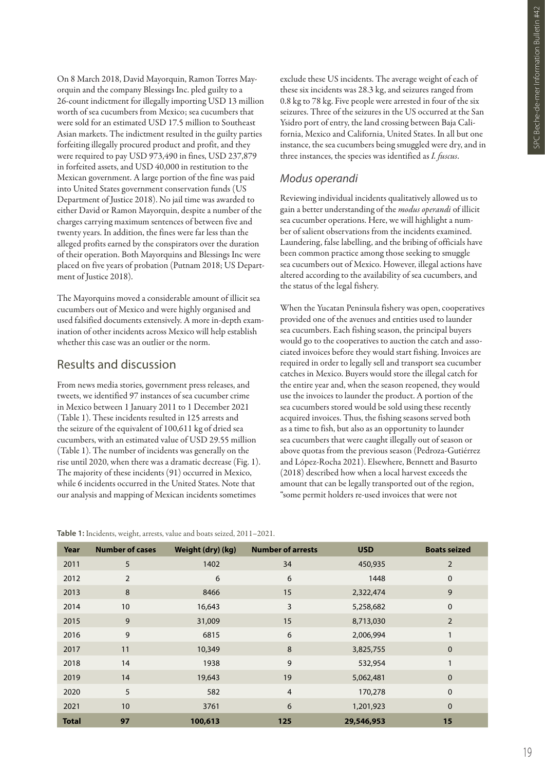On 8 March 2018, David Mayorquin, Ramon Torres Mayorquin and the company Blessings Inc. pled guilty to a 26-count indictment for illegally importing USD 13 million worth of sea cucumbers from Mexico; sea cucumbers that were sold for an estimated USD 17.5 million to Southeast Asian markets. The indictment resulted in the guilty parties forfeiting illegally procured product and profit, and they were required to pay USD 973,490 in fines, USD 237,879 in forfeited assets, and USD 40,000 in restitution to the Mexican government. A large portion of the fine was paid into United States government conservation funds (US Department of Justice 2018). No jail time was awarded to either David or Ramon Mayorquin, despite a number of the charges carrying maximum sentences of between five and twenty years. In addition, the fines were far less than the alleged profits earned by the conspirators over the duration of their operation. Both Mayorquins and Blessings Inc were placed on five years of probation (Putnam 2018; US Department of Justice 2018).

The Mayorquins moved a considerable amount of illicit sea cucumbers out of Mexico and were highly organised and used falsified documents extensively. A more in-depth examination of other incidents across Mexico will help establish whether this case was an outlier or the norm.

# Results and discussion

From news media stories, government press releases, and tweets, we identified 97 instances of sea cucumber crime in Mexico between 1 January 2011 to 1 December 2021 (Table 1). These incidents resulted in 125 arrests and the seizure of the equivalent of 100,611 kg of dried sea cucumbers, with an estimated value of USD 29.55 million (Table 1). The number of incidents was generally on the rise until 2020, when there was a dramatic decrease (Fig. 1). The majority of these incidents (91) occurred in Mexico, while 6 incidents occurred in the United States. Note that our analysis and mapping of Mexican incidents sometimes

**Table 1:** Incidents, weight, arrests, value and boats seized, 2011–2021.

exclude these US incidents. The average weight of each of these six incidents was 28.3 kg, and seizures ranged from 0.8 kg to 78 kg. Five people were arrested in four of the six seizures. Three of the seizures in the US occurred at the San Ysidro port of entry, the land crossing between Baja California, Mexico and California, United States. In all but one instance, the sea cucumbers being smuggled were dry, and in three instances, the species was identified as *I. fuscus*.

# *Modus operandi*

Reviewing individual incidents qualitatively allowed us to gain a better understanding of the *modus operandi* of illicit sea cucumber operations. Here, we will highlight a number of salient observations from the incidents examined. Laundering, false labelling, and the bribing of officials have been common practice among those seeking to smuggle sea cucumbers out of Mexico. However, illegal actions have altered according to the availability of sea cucumbers, and the status of the legal fishery.

When the Yucatan Peninsula fishery was open, cooperatives provided one of the avenues and entities used to launder sea cucumbers. Each fishing season, the principal buyers would go to the cooperatives to auction the catch and associated invoices before they would start fishing. Invoices are required in order to legally sell and transport sea cucumber catches in Mexico. Buyers would store the illegal catch for the entire year and, when the season reopened, they would use the invoices to launder the product. A portion of the sea cucumbers stored would be sold using these recently acquired invoices. Thus, the fishing seasons served both as a time to fish, but also as an opportunity to launder sea cucumbers that were caught illegally out of season or above quotas from the previous season (Pedroza-Gutiérrez and López-Rocha 2021). Elsewhere, Bennett and Basurto (2018) described how when a local harvest exceeds the amount that can be legally transported out of the region, "some permit holders re-used invoices that were not

| Year         | <b>Number of cases</b> | Weight (dry) (kg) | <b>Number of arrests</b> | <b>USD</b> | <b>Boats seized</b> |
|--------------|------------------------|-------------------|--------------------------|------------|---------------------|
| 2011         | 5                      | 1402              | 34                       | 450,935    | $\overline{2}$      |
| 2012         | $\overline{2}$         | 6                 | 6                        | 1448       | $\mathbf 0$         |
| 2013         | 8                      | 8466              | 15                       | 2,322,474  | 9                   |
| 2014         | 10                     | 16,643            | 3                        | 5,258,682  | $\mathbf 0$         |
| 2015         | 9                      | 31,009            | 15                       | 8,713,030  | $\overline{2}$      |
| 2016         | 9                      | 6815              | 6                        | 2,006,994  | 1                   |
| 2017         | 11                     | 10,349            | 8                        | 3,825,755  | $\mathbf 0$         |
| 2018         | 14                     | 1938              | 9                        | 532,954    | 1                   |
| 2019         | 14                     | 19,643            | 19                       | 5,062,481  | $\mathbf 0$         |
| 2020         | 5                      | 582               | $\overline{4}$           | 170,278    | $\mathbf 0$         |
| 2021         | 10                     | 3761              | 6                        | 1,201,923  | $\mathbf 0$         |
| <b>Total</b> | 97                     | 100,613           | 125                      | 29,546,953 | 15                  |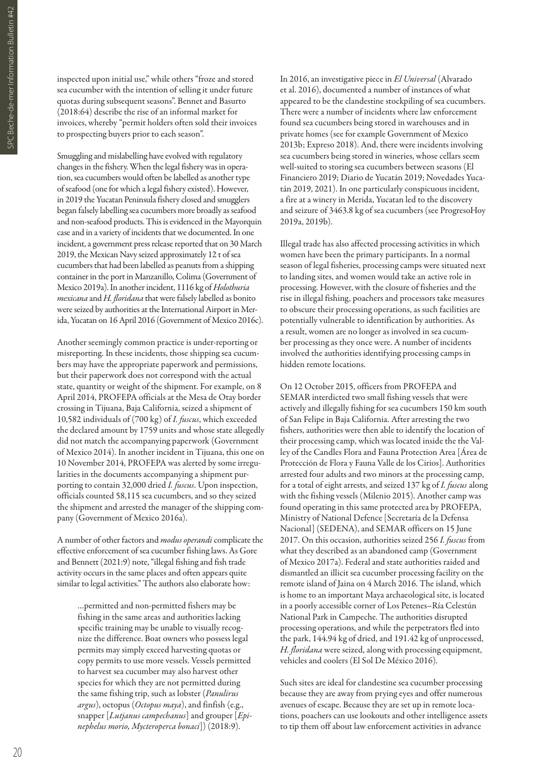inspected upon initial use," while others "froze and stored sea cucumber with the intention of selling it under future quotas during subsequent seasons". Bennet and Basurto (2018:64) describe the rise of an informal market for invoices, whereby "permit holders often sold their invoices to prospecting buyers prior to each season".

Smuggling and mislabelling have evolved with regulatory changes in the fishery. When the legal fishery was in operation, sea cucumbers would often be labelled as another type of seafood (one for which a legal fishery existed). However, in 2019 the Yucatan Peninsula fishery closed and smugglers began falsely labelling sea cucumbers more broadly as seafood and non-seafood products. This is evidenced in the Mayorquin case and in a variety of incidents that we documented. In one incident, a government press release reported that on 30 March 2019, the Mexican Navy seized approximately 12 t of sea cucumbers that had been labelled as peanuts from a shipping container in the port in Manzanillo, Colima (Government of Mexico 2019a). In another incident, 1116 kg of *Holothuria mexicana* and *H. floridana* that were falsely labelled as bonito were seized by authorities at the International Airport in Merida, Yucatan on 16 April 2016 (Government of Mexico 2016c).

Another seemingly common practice is under-reporting or misreporting. In these incidents, those shipping sea cucumbers may have the appropriate paperwork and permissions, but their paperwork does not correspond with the actual state, quantity or weight of the shipment. For example, on 8 April 2014, PROFEPA officials at the Mesa de Otay border crossing in Tijuana, Baja California, seized a shipment of 10,582 individuals of (700 kg) of *I. fuscus*, which exceeded the declared amount by 1759 units and whose state allegedly did not match the accompanying paperwork (Government of Mexico 2014). In another incident in Tijuana, this one on 10 November 2014, PROFEPA was alerted by some irregularities in the documents accompanying a shipment purporting to contain 32,000 dried *I. fuscus*. Upon inspection, officials counted 58,115 sea cucumbers, and so they seized the shipment and arrested the manager of the shipping company (Government of Mexico 2016a).

A number of other factors and *modus operandi* complicate the effective enforcement of sea cucumber fishing laws. As Gore and Bennett (2021:9) note, "illegal fishing and fish trade activity occurs in the same places and often appears quite similar to legal activities." The authors also elaborate how:

…permitted and non-permitted fishers may be fishing in the same areas and authorities lacking specific training may be unable to visually recognize the difference. Boat owners who possess legal permits may simply exceed harvesting quotas or copy permits to use more vessels. Vessels permitted to harvest sea cucumber may also harvest other species for which they are not permitted during the same fishing trip, such as lobster (*Panulirus argus*), octopus (*Octopus maya*), and finfish (e.g., snapper [*Lutjanus campechanus*] and grouper [*Epinephelus morio, Mycteroperca bonaci*]) (2018:9).

In 2016, an investigative piece in *El Universal* (Alvarado et al. 2016), documented a number of instances of what appeared to be the clandestine stockpiling of sea cucumbers. There were a number of incidents where law enforcement found sea cucumbers being stored in warehouses and in private homes (see for example Government of Mexico 2013b; Expreso 2018). And, there were incidents involving sea cucumbers being stored in wineries, whose cellars seem well-suited to storing sea cucumbers between seasons (El Financiero 2019; Diario de Yucatán 2019; Novedades Yucatán 2019, 2021). In one particularly conspicuous incident, a fire at a winery in Merida, Yucatan led to the discovery and seizure of 3463.8 kg of sea cucumbers (see ProgresoHoy 2019a, 2019b).

Illegal trade has also affected processing activities in which women have been the primary participants. In a normal season of legal fisheries, processing camps were situated next to landing sites, and women would take an active role in processing. However, with the closure of fisheries and the rise in illegal fishing, poachers and processors take measures to obscure their processing operations, as such facilities are potentially vulnerable to identification by authorities. As a result, women are no longer as involved in sea cucumber processing as they once were. A number of incidents involved the authorities identifying processing camps in hidden remote locations.

On 12 October 2015, officers from PROFEPA and SEMAR interdicted two small fishing vessels that were actively and illegally fishing for sea cucumbers 150 km south of San Felipe in Baja California. After arresting the two fishers, authorities were then able to identify the location of their processing camp, which was located inside the the Valley of the Candles Flora and Fauna Protection Area [Área de Protección de Flora y Fauna Valle de los Cirios]. Authorities arrested four adults and two minors at the processing camp, for a total of eight arrests, and seized 137 kg of *I. fuscus* along with the fishing vessels (Milenio 2015). Another camp was found operating in this same protected area by PROFEPA, Ministry of National Defence [Secretaría de la Defensa Nacional] (SEDENA), and SEMAR officers on 15 June 2017. On this occasion, authorities seized 256 *I. fuscus* from what they described as an abandoned camp (Government of Mexico 2017a). Federal and state authorities raided and dismantled an illicit sea cucumber processing facility on the remote island of Jaina on 4 March 2016. The island, which is home to an important Maya archaeological site, is located in a poorly accessible corner of Los Petenes–Ría Celestún National Park in Campeche. The authorities disrupted processing operations, and while the perpetrators fled into the park, 144.94 kg of dried, and 191.42 kg of unprocessed, *H. floridana* were seized, along with processing equipment, vehicles and coolers (El Sol De México 2016).

Such sites are ideal for clandestine sea cucumber processing because they are away from prying eyes and offer numerous avenues of escape. Because they are set up in remote locations, poachers can use lookouts and other intelligence assets to tip them off about law enforcement activities in advance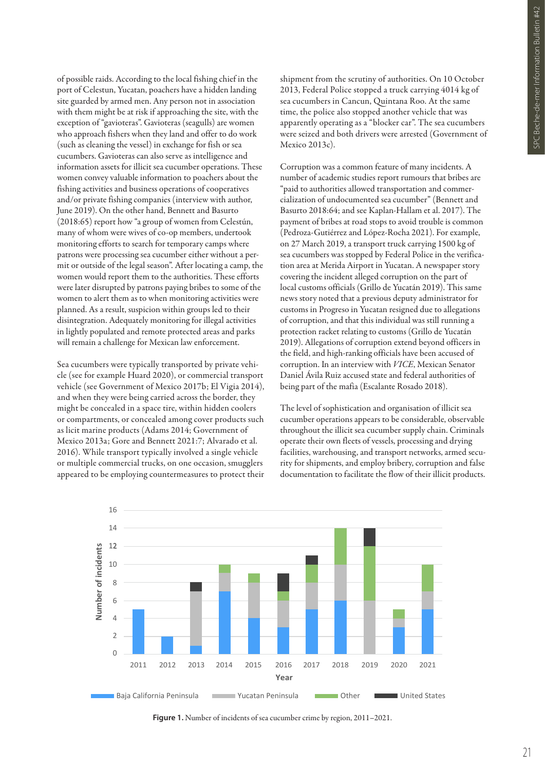of possible raids. According to the local fishing chief in the port of Celestun, Yucatan, poachers have a hidden landing site guarded by armed men. Any person not in association with them might be at risk if approaching the site, with the exception of "gavioteras". Gavioteras (seagulls) are women who approach fishers when they land and offer to do work (such as cleaning the vessel) in exchange for fish or sea cucumbers. Gavioteras can also serve as intelligence and information assets for illicit sea cucumber operations. These women convey valuable information to poachers about the fishing activities and business operations of cooperatives and/or private fishing companies (interview with author, June 2019). On the other hand, Bennett and Basurto (2018:65) report how "a group of women from Celestún, many of whom were wives of co-op members, undertook monitoring efforts to search for temporary camps where patrons were processing sea cucumber either without a permit or outside of the legal season". After locating a camp, the women would report them to the authorities. These efforts were later disrupted by patrons paying bribes to some of the women to alert them as to when monitoring activities were planned. As a result, suspicion within groups led to their disintegration. Adequately monitoring for illegal activities in lightly populated and remote protected areas and parks will remain a challenge for Mexican law enforcement.

Sea cucumbers were typically transported by private vehicle (see for example Huard 2020), or commercial transport vehicle (see Government of Mexico 2017b; El Vigia 2014), and when they were being carried across the border, they might be concealed in a space tire, within hidden coolers or compartments, or concealed among cover products such as licit marine products (Adams 2014; Government of Mexico 2013a; Gore and Bennett 2021:7; Alvarado et al. 2016). While transport typically involved a single vehicle or multiple commercial trucks, on one occasion, smugglers appeared to be employing countermeasures to protect their

shipment from the scrutiny of authorities. On 10 October 2013, Federal Police stopped a truck carrying 4014 kg of sea cucumbers in Cancun, Quintana Roo. At the same time, the police also stopped another vehicle that was apparently operating as a "blocker car". The sea cucumbers were seized and both drivers were arrested (Government of Mexico 2013c).

Corruption was a common feature of many incidents. A number of academic studies report rumours that bribes are "paid to authorities allowed transportation and commercialization of undocumented sea cucumber" (Bennett and Basurto 2018:64; and see Kaplan-Hallam et al. 2017). The payment of bribes at road stops to avoid trouble is common (Pedroza-Gutiérrez and López-Rocha 2021). For example, on 27 March 2019, a transport truck carrying 1500 kg of sea cucumbers was stopped by Federal Police in the verification area at Merida Airport in Yucatan. A newspaper story covering the incident alleged corruption on the part of local customs officials (Grillo de Yucatán 2019). This same news story noted that a previous deputy administrator for customs in Progreso in Yucatan resigned due to allegations of corruption, and that this individual was still running a protection racket relating to customs (Grillo de Yucatán 2019). Allegations of corruption extend beyond officers in the field, and high-ranking officials have been accused of corruption. In an interview with *VICE*, Mexican Senator Daniel Ávila Ruiz accused state and federal authorities of being part of the mafia (Escalante Rosado 2018).

The level of sophistication and organisation of illicit sea cucumber operations appears to be considerable, observable throughout the illicit sea cucumber supply chain. Criminals operate their own fleets of vessels, processing and drying facilities, warehousing, and transport networks, armed security for shipments, and employ bribery, corruption and false documentation to facilitate the flow of their illicit products.



**Figure 1.** Number of incidents of sea cucumber crime by region, 2011–2021.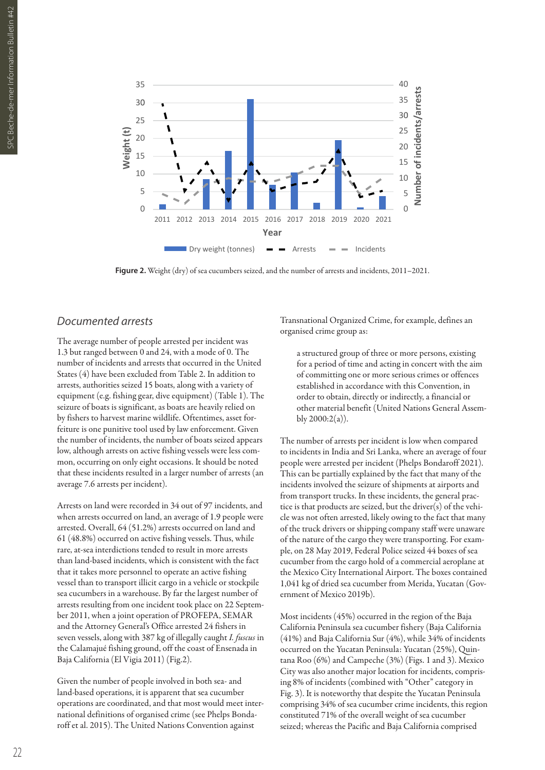

Figure 2. Weight (dry) of sea cucumbers seized, and the number of arrests and incidents, 2011–2021.

#### *Documented arrests*

The average number of people arrested per incident was 1.3 but ranged between 0 and 24, with a mode of 0. The number of incidents and arrests that occurred in the United States (4) have been excluded from Table 2. In addition to arrests, authorities seized 15 boats, along with a variety of equipment (e.g. fishing gear, dive equipment) (Table 1). The seizure of boats is significant, as boats are heavily relied on by fishers to harvest marine wildlife. Oftentimes, asset forfeiture is one punitive tool used by law enforcement. Given the number of incidents, the number of boats seized appears low, although arrests on active fishing vessels were less common, occurring on only eight occasions. It should be noted that these incidents resulted in a larger number of arrests (an average 7.6 arrests per incident).

Arrests on land were recorded in 34 out of 97 incidents, and when arrests occurred on land, an average of 1.9 people were arrested. Overall, 64 (51.2%) arrests occurred on land and 61 (48.8%) occurred on active fishing vessels. Thus, while rare, at-sea interdictions tended to result in more arrests than land-based incidents, which is consistent with the fact that it takes more personnel to operate an active fishing vessel than to transport illicit cargo in a vehicle or stockpile sea cucumbers in a warehouse. By far the largest number of arrests resulting from one incident took place on 22 September 2011, when a joint operation of PROFEPA, SEMAR and the Attorney General's Office arrested 24 fishers in seven vessels, along with 387 kg of illegally caught *I. fuscus* in the Calamajué fishing ground, off the coast of Ensenada in Baja California (El Vigia 2011) (Fig.2).

Given the number of people involved in both sea- and land-based operations, it is apparent that sea cucumber operations are coordinated, and that most would meet international definitions of organised crime (see Phelps Bondaroff et al. 2015). The United Nations Convention against

Transnational Organized Crime, for example, defines an organised crime group as:

a structured group of three or more persons, existing for a period of time and acting in concert with the aim of committing one or more serious crimes or offences established in accordance with this Convention, in order to obtain, directly or indirectly, a financial or other material benefit (United Nations General Assembly 2000:2(a)).

The number of arrests per incident is low when compared to incidents in India and Sri Lanka, where an average of four people were arrested per incident (Phelps Bondaroff 2021). This can be partially explained by the fact that many of the incidents involved the seizure of shipments at airports and from transport trucks. In these incidents, the general practice is that products are seized, but the driver(s) of the vehicle was not often arrested, likely owing to the fact that many of the truck drivers or shipping company staff were unaware of the nature of the cargo they were transporting. For example, on 28 May 2019, Federal Police seized 44 boxes of sea cucumber from the cargo hold of a commercial aeroplane at the Mexico City International Airport. The boxes contained 1,041 kg of dried sea cucumber from Merida, Yucatan (Government of Mexico 2019b).

Most incidents (45%) occurred in the region of the Baja California Peninsula sea cucumber fishery (Baja California (41%) and Baja California Sur (4%), while 34% of incidents occurred on the Yucatan Peninsula: Yucatan (25%), Quintana Roo (6%) and Campeche (3%) (Figs. 1 and 3). Mexico City was also another major location for incidents, comprising 8% of incidents (combined with "Other" category in Fig. 3). It is noteworthy that despite the Yucatan Peninsula comprising 34% of sea cucumber crime incidents, this region constituted 71% of the overall weight of sea cucumber seized; whereas the Pacific and Baja California comprised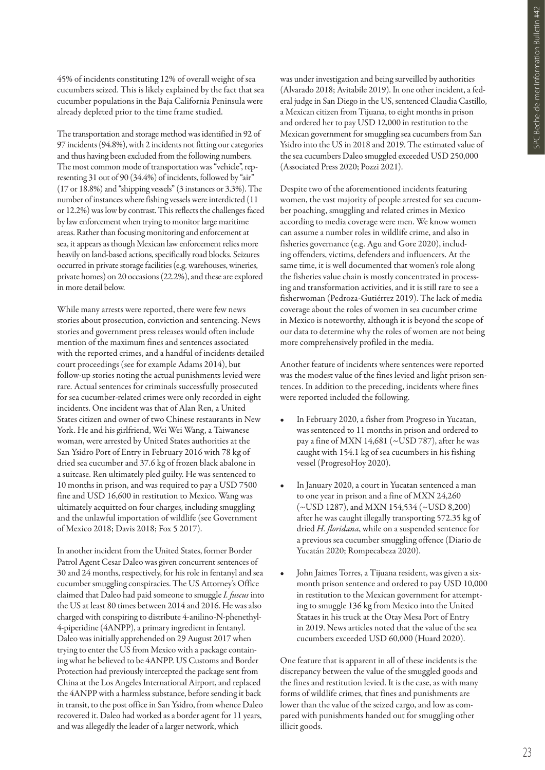45% of incidents constituting 12% of overall weight of sea cucumbers seized. This is likely explained by the fact that sea cucumber populations in the Baja California Peninsula were already depleted prior to the time frame studied.

The transportation and storage method was identified in 92 of 97 incidents (94.8%), with 2 incidents not fitting our categories and thus having been excluded from the following numbers. The most common mode of transportation was "vehicle", representing 31 out of 90 (34.4%) of incidents, followed by "air" (17 or 18.8%) and "shipping vessels" (3 instances or 3.3%). The number of instances where fishing vessels were interdicted (11 or 12.2%) was low by contrast. This reflects the challenges faced by law enforcement when trying to monitor large maritime areas. Rather than focusing monitoring and enforcement at sea, it appears as though Mexican law enforcement relies more heavily on land-based actions, specifically road blocks. Seizures occurred in private storage facilities (e.g. warehouses, wineries, private homes) on 20 occasions (22.2%), and these are explored in more detail below.

While many arrests were reported, there were few news stories about prosecution, conviction and sentencing. News stories and government press releases would often include mention of the maximum fines and sentences associated with the reported crimes, and a handful of incidents detailed court proceedings (see for example Adams 2014), but follow-up stories noting the actual punishments levied were rare. Actual sentences for criminals successfully prosecuted for sea cucumber-related crimes were only recorded in eight incidents. One incident was that of Alan Ren, a United States citizen and owner of two Chinese restaurants in New York. He and his girlfriend, Wei Wei Wang, a Taiwanese woman, were arrested by United States authorities at the San Ysidro Port of Entry in February 2016 with 78 kg of dried sea cucumber and 37.6 kg of frozen black abalone in a suitcase. Ren ultimately pled guilty. He was sentenced to 10 months in prison, and was required to pay a USD 7500 fine and USD 16,600 in restitution to Mexico. Wang was ultimately acquitted on four charges, including smuggling and the unlawful importation of wildlife (see Government of Mexico 2018; Davis 2018; Fox 5 2017).

In another incident from the United States, former Border Patrol Agent Cesar Daleo was given concurrent sentences of 30 and 24 months, respectively, for his role in fentanyl and sea cucumber smuggling conspiracies. The US Attorney's Office claimed that Daleo had paid someone to smuggle *I. fuscus* into the US at least 80 times between 2014 and 2016. He was also charged with conspiring to distribute 4-anilino-N-phenethyl-4-piperidine (4ANPP), a primary ingredient in fentanyl. Daleo was initially apprehended on 29 August 2017 when trying to enter the US from Mexico with a package containing what he believed to be 4ANPP. US Customs and Border Protection had previously intercepted the package sent from China at the Los Angeles International Airport, and replaced the 4ANPP with a harmless substance, before sending it back in transit, to the post office in San Ysidro, from whence Daleo recovered it. Daleo had worked as a border agent for 11 years, and was allegedly the leader of a larger network, which

was under investigation and being surveilled by authorities (Alvarado 2018; Avitabile 2019). In one other incident, a federal judge in San Diego in the US, sentenced Claudia Castillo, a Mexican citizen from Tijuana, to eight months in prison and ordered her to pay USD 12,000 in restitution to the Mexican government for smuggling sea cucumbers from San Ysidro into the US in 2018 and 2019. The estimated value of the sea cucumbers Daleo smuggled exceeded USD 250,000 (Associated Press 2020; Pozzi 2021).

Despite two of the aforementioned incidents featuring women, the vast majority of people arrested for sea cucumber poaching, smuggling and related crimes in Mexico according to media coverage were men. We know women can assume a number roles in wildlife crime, and also in fisheries governance (e.g. Agu and Gore 2020), including offenders, victims, defenders and influencers. At the same time, it is well documented that women's role along the fisheries value chain is mostly concentrated in processing and transformation activities, and it is still rare to see a fisherwoman (Pedroza-Gutiérrez 2019). The lack of media coverage about the roles of women in sea cucumber crime in Mexico is noteworthy, although it is beyond the scope of our data to determine why the roles of women are not being more comprehensively profiled in the media.

Another feature of incidents where sentences were reported was the modest value of the fines levied and light prison sentences. In addition to the preceding, incidents where fines were reported included the following.

- In February 2020, a fisher from Progreso in Yucatan, was sentenced to 11 months in prison and ordered to pay a fine of MXN 14,681 (~USD 787), after he was caught with 154.1 kg of sea cucumbers in his fishing vessel (ProgresoHoy 2020).
- In January 2020, a court in Yucatan sentenced a man to one year in prison and a fine of MXN 24,260 (~USD 1287), and MXN 154,534 (~USD 8,200) after he was caught illegally transporting 572.35 kg of dried *H. floridana*, while on a suspended sentence for a previous sea cucumber smuggling offence (Diario de Yucatán 2020; Rompecabeza 2020).
- John Jaimes Torres, a Tijuana resident, was given a sixmonth prison sentence and ordered to pay USD 10,000 in restitution to the Mexican government for attempting to smuggle 136 kg from Mexico into the United Stataes in his truck at the Otay Mesa Port of Entry in 2019. News articles noted that the value of the sea cucumbers exceeded USD 60,000 (Huard 2020).

One feature that is apparent in all of these incidents is the discrepancy between the value of the smuggled goods and the fines and restitution levied. It is the case, as with many forms of wildlife crimes, that fines and punishments are lower than the value of the seized cargo, and low as compared with punishments handed out for smuggling other illicit goods.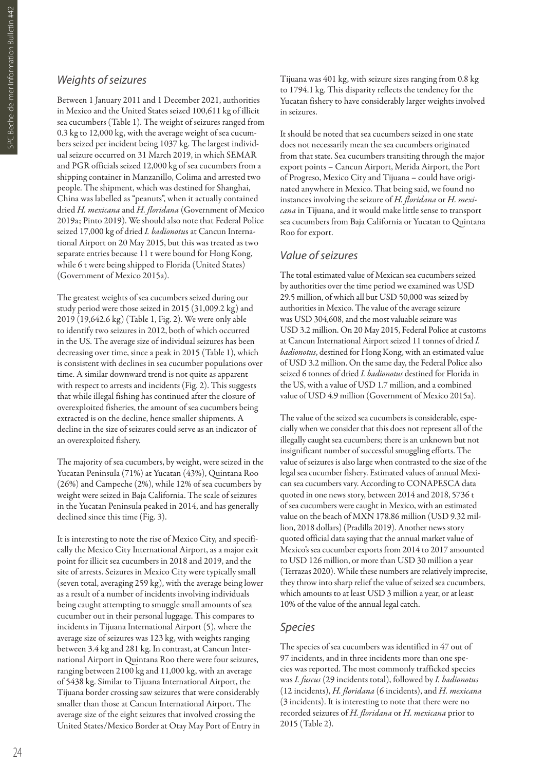#### *Weights of seizures*

Between 1 January 2011 and 1 December 2021, authorities in Mexico and the United States seized 100,611 kg of illicit sea cucumbers (Table 1). The weight of seizures ranged from 0.3 kg to 12,000 kg, with the average weight of sea cucumbers seized per incident being 1037 kg. The largest individual seizure occurred on 31 March 2019, in which SEMAR and PGR officials seized 12,000 kg of sea cucumbers from a shipping container in Manzanillo, Colima and arrested two people. The shipment, which was destined for Shanghai, China was labelled as "peanuts", when it actually contained dried *H. mexicana* and *H. floridana* (Government of Mexico 2019a; Pinto 2019). We should also note that Federal Police seized 17,000 kg of dried *I. badionotu*s at Cancun International Airport on 20 May 2015, but this was treated as two separate entries because 11 t were bound for Hong Kong, while 6 t were being shipped to Florida (United States) (Government of Mexico 2015a).

The greatest weights of sea cucumbers seized during our study period were those seized in 2015 (31,009.2 kg) and 2019 (19,642.6 kg) (Table 1, Fig. 2). We were only able to identify two seizures in 2012, both of which occurred in the US. The average size of individual seizures has been decreasing over time, since a peak in 2015 (Table 1), which is consistent with declines in sea cucumber populations over time. A similar downward trend is not quite as apparent with respect to arrests and incidents (Fig. 2). This suggests that while illegal fishing has continued after the closure of overexploited fisheries, the amount of sea cucumbers being extracted is on the decline, hence smaller shipments. A decline in the size of seizures could serve as an indicator of an overexploited fishery.

The majority of sea cucumbers, by weight, were seized in the Yucatan Peninsula (71%) at Yucatan (43%), Quintana Roo (26%) and Campeche (2%), while 12% of sea cucumbers by weight were seized in Baja California. The scale of seizures in the Yucatan Peninsula peaked in 2014, and has generally declined since this time (Fig. 3).

It is interesting to note the rise of Mexico City, and specifically the Mexico City International Airport, as a major exit point for illicit sea cucumbers in 2018 and 2019, and the site of arrests. Seizures in Mexico City were typically small (seven total, averaging 259 kg), with the average being lower as a result of a number of incidents involving individuals being caught attempting to smuggle small amounts of sea cucumber out in their personal luggage. This compares to incidents in Tijuana International Airport (5), where the average size of seizures was 123 kg, with weights ranging between 3.4 kg and 281 kg. In contrast, at Cancun International Airport in Quintana Roo there were four seizures, ranging between 2100 kg and 11,000 kg, with an average of 5438 kg. Similar to Tijuana International Airport, the Tijuana border crossing saw seizures that were considerably smaller than those at Cancun International Airport. The average size of the eight seizures that involved crossing the United States/Mexico Border at Otay May Port of Entry in

Tijuana was 401 kg, with seizure sizes ranging from 0.8 kg to 1794.1 kg. This disparity reflects the tendency for the Yucatan fishery to have considerably larger weights involved in seizures.

It should be noted that sea cucumbers seized in one state does not necessarily mean the sea cucumbers originated from that state. Sea cucumbers transiting through the major export points – Cancun Airport, Merida Airport, the Port of Progreso, Mexico City and Tijuana – could have originated anywhere in Mexico. That being said, we found no instances involving the seizure of *H. floridana* or *H. mexicana* in Tijuana, and it would make little sense to transport sea cucumbers from Baja California or Yucatan to Quintana Roo for export.

#### *Value of seizures*

The total estimated value of Mexican sea cucumbers seized by authorities over the time period we examined was USD 29.5 million, of which all but USD 50,000 was seized by authorities in Mexico. The value of the average seizure was USD 304,608, and the most valuable seizure was USD 3.2 million. On 20 May 2015, Federal Police at customs at Cancun International Airport seized 11 tonnes of dried *I. badionotus*, destined for Hong Kong, with an estimated value of USD 3.2 million. On the same day, the Federal Police also seized 6 tonnes of dried *I. badionotus* destined for Florida in the US, with a value of USD 1.7 million, and a combined value of USD 4.9 million (Government of Mexico 2015a).

The value of the seized sea cucumbers is considerable, especially when we consider that this does not represent all of the illegally caught sea cucumbers; there is an unknown but not insignificant number of successful smuggling efforts. The value of seizures is also large when contrasted to the size of the legal sea cucumber fishery. Estimated values of annual Mexican sea cucumbers vary. According to CONAPESCA data quoted in one news story, between 2014 and 2018, 5736 t of sea cucumbers were caught in Mexico, with an estimated value on the beach of MXN 178.86 million (USD 9.32 million, 2018 dollars) (Pradilla 2019). Another news story quoted official data saying that the annual market value of Mexico's sea cucumber exports from 2014 to 2017 amounted to USD 126 million, or more than USD 30 million a year (Terrazas 2020). While these numbers are relatively imprecise, they throw into sharp relief the value of seized sea cucumbers, which amounts to at least USD 3 million a year, or at least 10% of the value of the annual legal catch.

#### *Species*

The species of sea cucumbers was identified in 47 out of 97 incidents, and in three incidents more than one species was reported. The most commonly trafficked species was *I. fuscus* (29 incidents total), followed by *I. badionotus* (12 incidents), *H. floridana* (6 incidents), and *H. mexicana* (3 incidents). It is interesting to note that there were no recorded seizures of *H. floridana* or *H. mexicana* prior to 2015 (Table 2).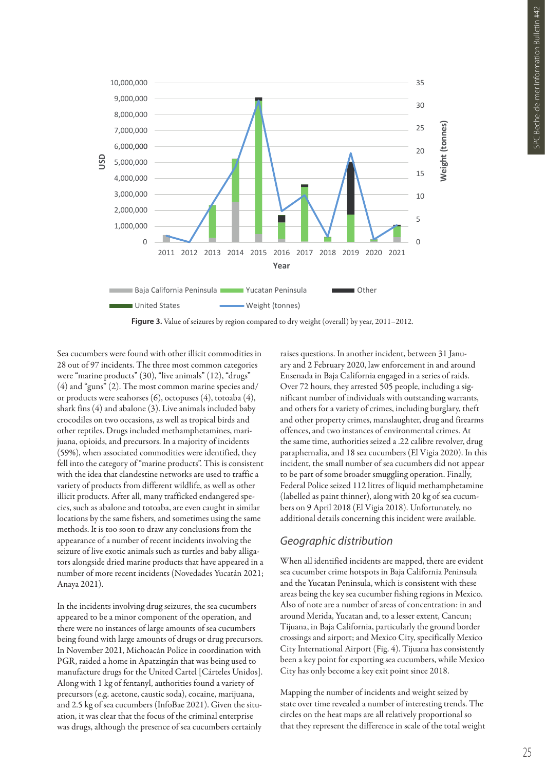

Sea cucumbers were found with other illicit commodities in 28 out of 97 incidents. The three most common categories were "marine products" (30), "live animals" (12), "drugs" (4) and "guns" (2). The most common marine species and/ or products were seahorses (6), octopuses (4), totoaba (4), shark fins (4) and abalone (3). Live animals included baby crocodiles on two occasions, as well as tropical birds and other reptiles. Drugs included methamphetamines, marijuana, opioids, and precursors. In a majority of incidents (59%), when associated commodities were identified, they fell into the category of "marine products". This is consistent with the idea that clandestine networks are used to traffic a variety of products from different wildlife, as well as other illicit products. After all, many trafficked endangered species, such as abalone and totoaba, are even caught in similar locations by the same fishers, and sometimes using the same methods. It is too soon to draw any conclusions from the appearance of a number of recent incidents involving the seizure of live exotic animals such as turtles and baby alligators alongside dried marine products that have appeared in a number of more recent incidents (Novedades Yucatán 2021; Anaya 2021).

In the incidents involving drug seizures, the sea cucumbers appeared to be a minor component of the operation, and there were no instances of large amounts of sea cucumbers being found with large amounts of drugs or drug precursors. In November 2021, Michoacán Police in coordination with PGR, raided a home in Apatzingán that was being used to manufacture drugs for the United Cartel [Cárteles Unidos]. Along with 1 kg of fentanyl, authorities found a variety of precursors (e.g. acetone, caustic soda), cocaine, marijuana, and 2.5 kg of sea cucumbers (InfoBae 2021). Given the situation, it was clear that the focus of the criminal enterprise was drugs, although the presence of sea cucumbers certainly

raises questions. In another incident, between 31 January and 2 February 2020, law enforcement in and around Ensenada in Baja California engaged in a series of raids. Over 72 hours, they arrested 505 people, including a significant number of individuals with outstanding warrants, and others for a variety of crimes, including burglary, theft and other property crimes, manslaughter, drug and firearms offences, and two instances of environmental crimes. At the same time, authorities seized a .22 calibre revolver, drug paraphernalia, and 18 sea cucumbers (El Vigia 2020). In this incident, the small number of sea cucumbers did not appear to be part of some broader smuggling operation. Finally, Federal Police seized 112 litres of liquid methamphetamine (labelled as paint thinner), along with 20 kg of sea cucumbers on 9 April 2018 (El Vigia 2018). Unfortunately, no additional details concerning this incident were available.

# *Geographic distribution*

When all identified incidents are mapped, there are evident sea cucumber crime hotspots in Baja California Peninsula and the Yucatan Peninsula, which is consistent with these areas being the key sea cucumber fishing regions in Mexico. Also of note are a number of areas of concentration: in and around Merida, Yucatan and, to a lesser extent, Cancun; Tijuana, in Baja California, particularly the ground border crossings and airport; and Mexico City, specifically Mexico City International Airport (Fig. 4). Tijuana has consistently been a key point for exporting sea cucumbers, while Mexico City has only become a key exit point since 2018.

Mapping the number of incidents and weight seized by state over time revealed a number of interesting trends. The circles on the heat maps are all relatively proportional so that they represent the difference in scale of the total weight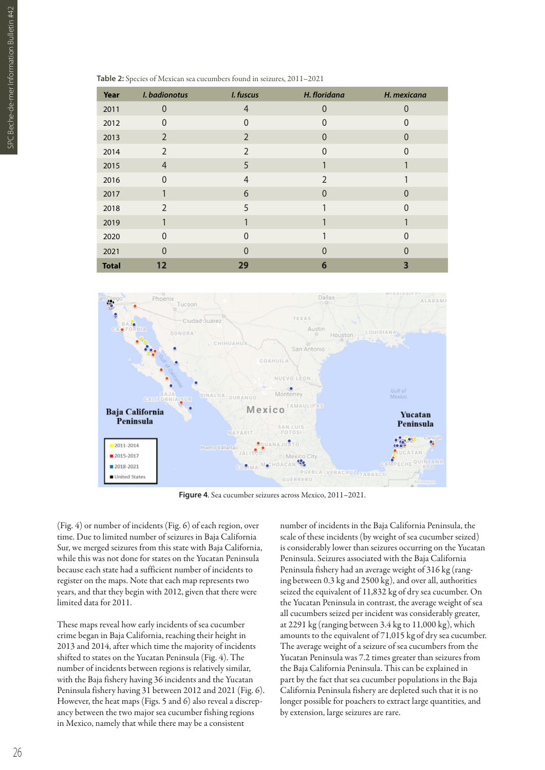| Year         | I. badionotus  | I. fuscus      | H. floridana  | H. mexicana    |
|--------------|----------------|----------------|---------------|----------------|
| 2011         | $\Omega$       | $\overline{4}$ | $\Omega$      | N              |
| 2012         | $\overline{0}$ | 0              | $\Omega$      | 0              |
| 2013         | 2              | $\overline{2}$ | $\Omega$      | $\overline{0}$ |
| 2014         | $\overline{2}$ | $\overline{2}$ | $\Omega$      | 0              |
| 2015         | 4              | 5              |               |                |
| 2016         | $\Omega$       | 4              | $\mathcal{P}$ |                |
| 2017         |                | 6              | $\Omega$      | 0              |
| 2018         | $\mathfrak{D}$ | 5              |               | ი              |
| 2019         |                |                |               |                |
| 2020         | $\Omega$       | $\Omega$       |               | 0              |
| 2021         | $\Omega$       | O              | O             |                |
| <b>Total</b> | 12             | 29             | 6             |                |

**Table 2:** Species of Mexican sea cucumbers found in seizures, 2011–2021



**Figure 4**. Sea cucumber seizures across Mexico, 2011–2021.

(Fig. 4) or number of incidents (Fig. 6) of each region, over time. Due to limited number of seizures in Baja California Sur, we merged seizures from this state with Baja California, while this was not done for states on the Yucatan Peninsula because each state had a sufficient number of incidents to register on the maps. Note that each map represents two years, and that they begin with 2012, given that there were limited data for 2011.

These maps reveal how early incidents of sea cucumber crime began in Baja California, reaching their height in 2013 and 2014, after which time the majority of incidents shifted to states on the Yucatan Peninsula (Fig. 4). The number of incidents between regions is relatively similar, with the Baja fishery having 36 incidents and the Yucatan Peninsula fishery having 31 between 2012 and 2021 (Fig. 6). However, the heat maps (Figs. 5 and 6) also reveal a discrepancy between the two major sea cucumber fishing regions in Mexico, namely that while there may be a consistent

number of incidents in the Baja California Peninsula, the scale of these incidents (by weight of sea cucumber seized) is considerably lower than seizures occurring on the Yucatan Peninsula. Seizures associated with the Baja California Peninsula fishery had an average weight of 316 kg (ranging between 0.3 kg and 2500 kg), and over all, authorities seized the equivalent of 11,832 kg of dry sea cucumber. On the Yucatan Peninsula in contrast, the average weight of sea all cucumbers seized per incident was considerably greater, at 2291 kg (ranging between 3.4 kg to 11,000 kg), which amounts to the equivalent of 71,015 kg of dry sea cucumber. The average weight of a seizure of sea cucumbers from the Yucatan Peninsula was 7.2 times greater than seizures from the Baja California Peninsula. This can be explained in part by the fact that sea cucumber populations in the Baja California Peninsula fishery are depleted such that it is no longer possible for poachers to extract large quantities, and by extension, large seizures are rare.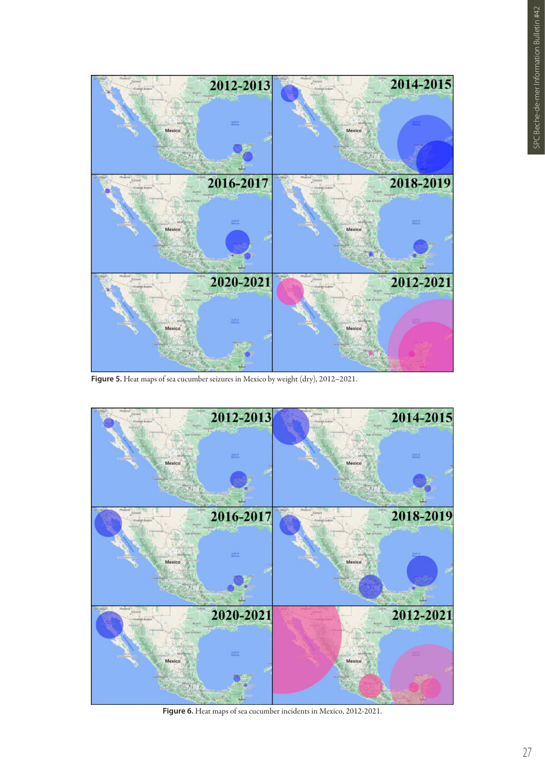

**Figure 5.** Heat maps of sea cucumber seizures in Mexico by weight (dry), 2012–2021.



**Figure 6.** Heat maps of sea cucumber incidents in Mexico, 2012-2021.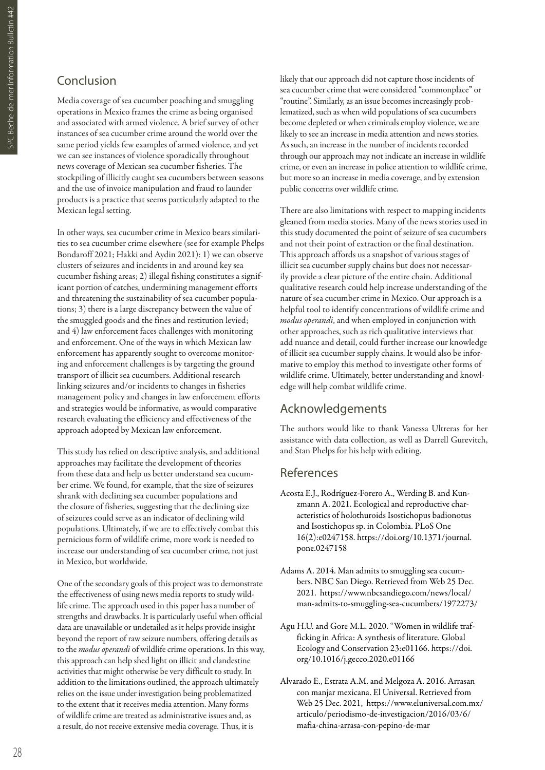# Conclusion

Media coverage of sea cucumber poaching and smuggling operations in Mexico frames the crime as being organised and associated with armed violence. A brief survey of other instances of sea cucumber crime around the world over the same period yields few examples of armed violence, and yet we can see instances of violence sporadically throughout news coverage of Mexican sea cucumber fisheries. The stockpiling of illicitly caught sea cucumbers between seasons and the use of invoice manipulation and fraud to launder products is a practice that seems particularly adapted to the Mexican legal setting.

In other ways, sea cucumber crime in Mexico bears similarities to sea cucumber crime elsewhere (see for example Phelps Bondaroff 2021; Hakki and Aydin 2021): 1) we can observe clusters of seizures and incidents in and around key sea cucumber fishing areas; 2) illegal fishing constitutes a significant portion of catches, undermining management efforts and threatening the sustainability of sea cucumber populations; 3) there is a large discrepancy between the value of the smuggled goods and the fines and restitution levied; and 4) law enforcement faces challenges with monitoring and enforcement. One of the ways in which Mexican law enforcement has apparently sought to overcome monitoring and enforcement challenges is by targeting the ground transport of illicit sea cucumbers. Additional research linking seizures and/or incidents to changes in fisheries management policy and changes in law enforcement efforts and strategies would be informative, as would comparative research evaluating the efficiency and effectiveness of the approach adopted by Mexican law enforcement.

This study has relied on descriptive analysis, and additional approaches may facilitate the development of theories from these data and help us better understand sea cucumber crime. We found, for example, that the size of seizures shrank with declining sea cucumber populations and the closure of fisheries, suggesting that the declining size of seizures could serve as an indicator of declining wild populations. Ultimately, if we are to effectively combat this pernicious form of wildlife crime, more work is needed to increase our understanding of sea cucumber crime, not just in Mexico, but worldwide.

One of the secondary goals of this project was to demonstrate the effectiveness of using news media reports to study wildlife crime. The approach used in this paper has a number of strengths and drawbacks. It is particularly useful when official data are unavailable or undetailed as it helps provide insight beyond the report of raw seizure numbers, offering details as to the *modus operandi* of wildlife crime operations. In this way, this approach can help shed light on illicit and clandestine activities that might otherwise be very difficult to study. In addition to the limitations outlined, the approach ultimately relies on the issue under investigation being problematized to the extent that it receives media attention. Many forms of wildlife crime are treated as administrative issues and, as a result, do not receive extensive media coverage. Thus, it is

likely that our approach did not capture those incidents of sea cucumber crime that were considered "commonplace" or "routine". Similarly, as an issue becomes increasingly problematized, such as when wild populations of sea cucumbers become depleted or when criminals employ violence, we are likely to see an increase in media attention and news stories. As such, an increase in the number of incidents recorded through our approach may not indicate an increase in wildlife crime, or even an increase in police attention to wildlife crime, but more so an increase in media coverage, and by extension public concerns over wildlife crime.

There are also limitations with respect to mapping incidents gleaned from media stories. Many of the news stories used in this study documented the point of seizure of sea cucumbers and not their point of extraction or the final destination. This approach affords us a snapshot of various stages of illicit sea cucumber supply chains but does not necessarily provide a clear picture of the entire chain. Additional qualitative research could help increase understanding of the nature of sea cucumber crime in Mexico. Our approach is a helpful tool to identify concentrations of wildlife crime and *modus operandi*, and when employed in conjunction with other approaches, such as rich qualitative interviews that add nuance and detail, could further increase our knowledge of illicit sea cucumber supply chains. It would also be informative to employ this method to investigate other forms of wildlife crime. Ultimately, better understanding and knowledge will help combat wildlife crime.

# Acknowledgements

The authors would like to thank Vanessa Ultreras for her assistance with data collection, as well as Darrell Gurevitch, and Stan Phelps for his help with editing.

# References

- Acosta E.J., Rodríguez-Forero A., Werding B. and Kunzmann A. 2021. Ecological and reproductive characteristics of holothuroids Isostichopus badionotus and Isostichopus sp. in Colombia. PLoS One 16(2):e0247158. https://doi.org/10.1371/journal. pone.0247158
- Adams A. 2014. Man admits to smuggling sea cucumbers. NBC San Diego. Retrieved from Web 25 Dec. 2021. https://www.nbcsandiego.com/news/local/ man-admits-to-smuggling-sea-cucumbers/1972273/
- Agu H.U. and Gore M.L. 2020. "Women in wildlife trafficking in Africa: A synthesis of literature. Global Ecology and Conservation 23:e01166. https://doi. org/10.1016/j.gecco.2020.e01166
- Alvarado E., Estrata A.M. and Melgoza A. 2016. Arrasan con manjar mexicana. El Universal. Retrieved from Web 25 Dec. 2021, https://www.eluniversal.com.mx/ articulo/periodismo-de-investigacion/2016/03/6/ mafia-china-arrasa-con-pepino-de-mar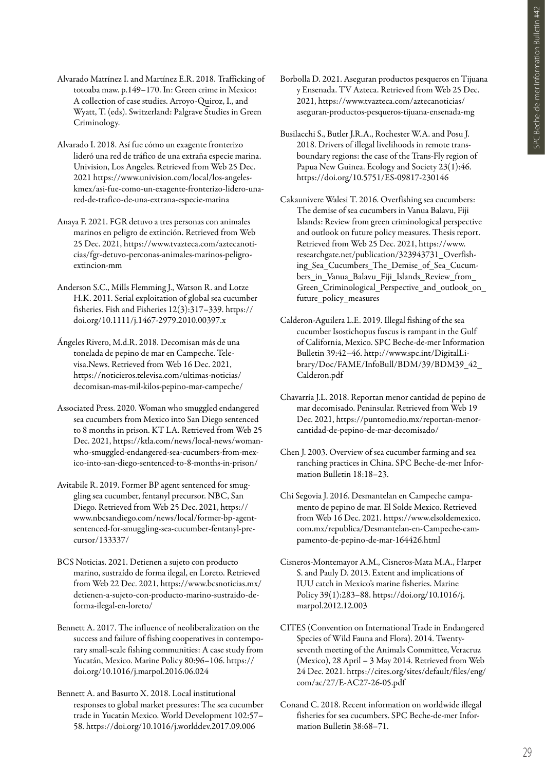- Alvarado Matrínez I. and Martínez E.R. 2018. Trafficking of totoaba maw. p.149–170. In: Green crime in Mexico: A collection of case studies. Arroyo-Quiroz, I., and Wyatt, T. (eds). Switzerland: Palgrave Studies in Green Criminology.
- Alvarado I. 2018. Así fue cómo un exagente fronterizo lideró una red de tráfico de una extraña especie marina. Univision, Los Angeles. Retrieved from Web 25 Dec. 2021 https://www.univision.com/local/los-angeleskmex/asi-fue-como-un-exagente-fronterizo-lidero-unared-de-trafico-de-una-extrana-especie-marina
- Anaya F. 2021. FGR detuvo a tres personas con animales marinos en peligro de extinción. Retrieved from Web 25 Dec. 2021, https://www.tvazteca.com/aztecanoticias/fgr-detuvo-perconas-animales-marinos-peligroextincion-mm
- Anderson S.C., Mills Flemming J., Watson R. and Lotze H.K. 2011. Serial exploitation of global sea cucumber fisheries. Fish and Fisheries 12(3):317–339. https:// doi.org/10.1111/j.1467-2979.2010.00397.x
- Ángeles Rivero, M.d.R. 2018. Decomisan más de una tonelada de pepino de mar en Campeche. Televisa.News. Retrieved from Web 16 Dec. 2021, https://noticieros.televisa.com/ultimas-noticias/ decomisan-mas-mil-kilos-pepino-mar-campeche/
- Associated Press. 2020. Woman who smuggled endangered sea cucumbers from Mexico into San Diego sentenced to 8 months in prison. KT LA. Retrieved from Web 25 Dec. 2021, https://ktla.com/news/local-news/womanwho-smuggled-endangered-sea-cucumbers-from-mexico-into-san-diego-sentenced-to-8-months-in-prison/
- Avitabile R. 2019. Former BP agent sentenced for smuggling sea cucumber, fentanyl precursor. NBC, San Diego. Retrieved from Web 25 Dec. 2021, https:// www.nbcsandiego.com/news/local/former-bp-agentsentenced-for-smuggling-sea-cucumber-fentanyl-precursor/133337/
- BCS Noticias. 2021. Detienen a sujeto con producto marino, sustraído de forma ilegal, en Loreto. Retrieved from Web 22 Dec. 2021, https://www.bcsnoticias.mx/ detienen-a-sujeto-con-producto-marino-sustraido-deforma-ilegal-en-loreto/
- Bennett A. 2017. The influence of neoliberalization on the success and failure of fishing cooperatives in contemporary small-scale fishing communities: A case study from Yucatán, Mexico. Marine Policy 80:96–106. https:// doi.org/10.1016/j.marpol.2016.06.024
- Bennett A. and Basurto X. 2018. Local institutional responses to global market pressures: The sea cucumber trade in Yucatán Mexico. World Development 102:57– 58. https://doi.org/10.1016/j.worlddev.2017.09.006
- Borbolla D. 2021. Aseguran productos pesqueros en Tijuana y Ensenada. TV Azteca. Retrieved from Web 25 Dec. 2021, https://www.tvazteca.com/aztecanoticias/ aseguran-productos-pesqueros-tijuana-ensenada-mg
- Busilacchi S., Butler J.R.A., Rochester W.A. and Posu J. 2018. Drivers of illegal livelihoods in remote transboundary regions: the case of the Trans-Fly region of Papua New Guinea. Ecology and Society 23(1):46. https://doi.org/10.5751/ES-09817-230146
- Cakaunivere Walesi T. 2016. Overfishing sea cucumbers: The demise of sea cucumbers in Vanua Balavu, Fiji Islands: Review from green criminological perspective and outlook on future policy measures. Thesis report. Retrieved from Web 25 Dec. 2021, https://www. researchgate.net/publication/323943731\_Overfishing Sea Cucumbers The Demise of Sea Cucumbers\_in\_Vanua\_Balavu\_Fiji\_Islands\_Review\_from\_ Green Criminological Perspective and outlook on future\_policy\_measures
- Calderon-Aguilera L.E. 2019. Illegal fishing of the sea cucumber Isostichopus fuscus is rampant in the Gulf of California, Mexico. SPC Beche-de-mer Information Bulletin 39:42–46. http://www.spc.int/DigitalLibrary/Doc/FAME/InfoBull/BDM/39/BDM39\_42\_ Calderon.pdf
- Chavarría J.L. 2018. Reportan menor cantidad de pepino de mar decomisado. Peninsular. Retrieved from Web 19 Dec. 2021, https://puntomedio.mx/reportan-menorcantidad-de-pepino-de-mar-decomisado/
- Chen J. 2003. Overview of sea cucumber farming and sea ranching practices in China. SPC Beche-de-mer Information Bulletin 18:18–23.
- Chi Segovia J. 2016. Desmantelan en Campeche campamento de pepino de mar. El Solde Mexico. Retrieved from Web 16 Dec. 2021. https://www.elsoldemexico. com.mx/republica/Desmantelan-en-Campeche-campamento-de-pepino-de-mar-164426.html
- Cisneros-Montemayor A.M., Cisneros-Mata M.A., Harper S. and Pauly D. 2013. Extent and implications of IUU catch in Mexico's marine fisheries. Marine Policy 39(1):283–88. https://doi.org/10.1016/j. marpol.2012.12.003
- CITES (Convention on International Trade in Endangered Species of Wild Fauna and Flora). 2014. Twentyseventh meeting of the Animals Committee, Veracruz (Mexico), 28 April – 3 May 2014. Retrieved from Web 24 Dec. 2021. https://cites.org/sites/default/files/eng/ com/ac/27/E-AC27-26-05.pdf
- Conand C. 2018. Recent information on worldwide illegal fisheries for sea cucumbers. SPC Beche-de-mer Information Bulletin 38:68–71.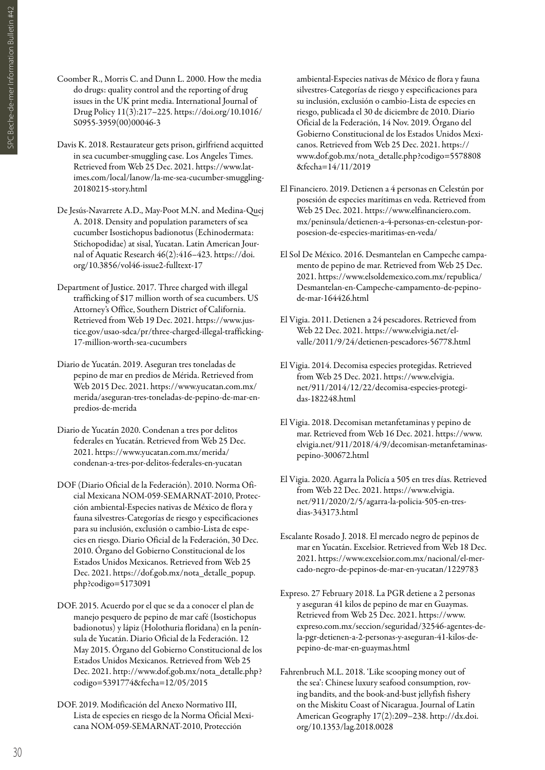- SPC Beche-de-mer Information Bulletin #42 SPC Beche-de-mer Information Bulletin #42<br>C
- Coomber R., Morris C. and Dunn L. 2000. How the media do drugs: quality control and the reporting of drug issues in the UK print media. International Journal of Drug Policy 11(3):217–225. https://doi.org/10.1016/ S0955-3959(00)00046-3
- Davis K. 2018. Restaurateur gets prison, girlfriend acquitted in sea cucumber-smuggling case. Los Angeles Times. Retrieved from Web 25 Dec. 2021. https://www.latimes.com/local/lanow/la-me-sea-cucumber-smuggling-20180215-story.html
- De Jesús-Navarrete A.D., May-Poot M.N. and Medina-Quej A. 2018. Density and population parameters of sea cucumber Isostichopus badionotus (Echinodermata: Stichopodidae) at sisal, Yucatan. Latin American Journal of Aquatic Research 46(2):416–423. https://doi. org/10.3856/vol46-issue2-fulltext-17
- Department of Justice. 2017. Three charged with illegal trafficking of \$17 million worth of sea cucumbers. US Attorney's Office, Southern District of California. Retrieved from Web 19 Dec. 2021. https://www.justice.gov/usao-sdca/pr/three-charged-illegal-trafficking-17-million-worth-sea-cucumbers
- Diario de Yucatán. 2019. Aseguran tres toneladas de pepino de mar en predios de Mérida. Retrieved from Web 2015 Dec. 2021. https://www.yucatan.com.mx/ merida/aseguran-tres-toneladas-de-pepino-de-mar-enpredios-de-merida
- Diario de Yucatán 2020. Condenan a tres por delitos federales en Yucatán. Retrieved from Web 25 Dec. 2021. https://www.yucatan.com.mx/merida/ condenan-a-tres-por-delitos-federales-en-yucatan
- DOF (Diario Oficial de la Federación). 2010. Norma Oficial Mexicana NOM-059-SEMARNAT-2010, Protección ambiental-Especies nativas de México de flora y fauna silvestres-Categorías de riesgo y especificaciones para su inclusión, exclusión o cambio-Lista de especies en riesgo. Diario Oficial de la Federación, 30 Dec. 2010. Órgano del Gobierno Constitucional de los Estados Unidos Mexicanos. Retrieved from Web 25 Dec. 2021. https://dof.gob.mx/nota\_detalle\_popup. php?codigo=5173091
- DOF. 2015. Acuerdo por el que se da a conocer el plan de manejo pesquero de pepino de mar café (Isostichopus badionotus) y lápiz (Holothuria floridana) en la península de Yucatán. Diario Oficial de la Federación. 12 May 2015. Órgano del Gobierno Constitucional de los Estados Unidos Mexicanos. Retrieved from Web 25 Dec. 2021. http://www.dof.gob.mx/nota\_detalle.php? codigo=5391774&fecha=12/05/2015
- DOF. 2019. Modificación del Anexo Normativo III, Lista de especies en riesgo de la Norma Oficial Mexicana NOM-059-SEMARNAT-2010, Protección

ambiental-Especies nativas de México de flora y fauna silvestres-Categorías de riesgo y especificaciones para su inclusión, exclusión o cambio-Lista de especies en riesgo, publicada el 30 de diciembre de 2010. Diario Oficial de la Federación, 14 Nov. 2019. Órgano del Gobierno Constitucional de los Estados Unidos Mexicanos. Retrieved from Web 25 Dec. 2021. https:// www.dof.gob.mx/nota\_detalle.php?codigo=5578808 &fecha=14/11/2019

- El Financiero. 2019. Detienen a 4 personas en Celestún por posesión de especies marítimas en veda. Retrieved from Web 25 Dec. 2021. https://www.elfinanciero.com. mx/peninsula/detienen-a-4-personas-en-celestun-porposesion-de-especies-maritimas-en-veda/
- El Sol De México. 2016. Desmantelan en Campeche campamento de pepino de mar. Retrieved from Web 25 Dec. 2021. https://www.elsoldemexico.com.mx/republica/ Desmantelan-en-Campeche-campamento-de-pepinode-mar-164426.html
- El Vigia. 2011. Detienen a 24 pescadores. Retrieved from Web 22 Dec. 2021. https://www.elvigia.net/elvalle/2011/9/24/detienen-pescadores-56778.html
- El Vigia. 2014. Decomisa especies protegidas. Retrieved from Web 25 Dec. 2021. https://www.elvigia. net/911/2014/12/22/decomisa-especies-protegidas-182248.html
- El Vigia. 2018. Decomisan metanfetaminas y pepino de mar. Retrieved from Web 16 Dec. 2021. https://www. elvigia.net/911/2018/4/9/decomisan-metanfetaminaspepino-300672.html
- El Vigia. 2020. Agarra la Policía a 505 en tres días. Retrieved from Web 22 Dec. 2021. https://www.elvigia. net/911/2020/2/5/agarra-la-policia-505-en-tresdias-343173.html
- Escalante Rosado J. 2018. El mercado negro de pepinos de mar en Yucatán. Excelsior. Retrieved from Web 18 Dec. 2021. https://www.excelsior.com.mx/nacional/el-mercado-negro-de-pepinos-de-mar-en-yucatan/1229783
- Expreso. 27 February 2018. La PGR detiene a 2 personas y aseguran 41 kilos de pepino de mar en Guaymas. Retrieved from Web 25 Dec. 2021. https://www. expreso.com.mx/seccion/seguridad/32546-agentes-dela-pgr-detienen-a-2-personas-y-aseguran-41-kilos-depepino-de-mar-en-guaymas.html
- Fahrenbruch M.L. 2018. 'Like scooping money out of the sea': Chinese luxury seafood consumption, roving bandits, and the book-and-bust jellyfish fishery on the Miskitu Coast of Nicaragua. Journal of Latin American Geography 17(2):209–238. http://dx.doi. org/10.1353/lag.2018.0028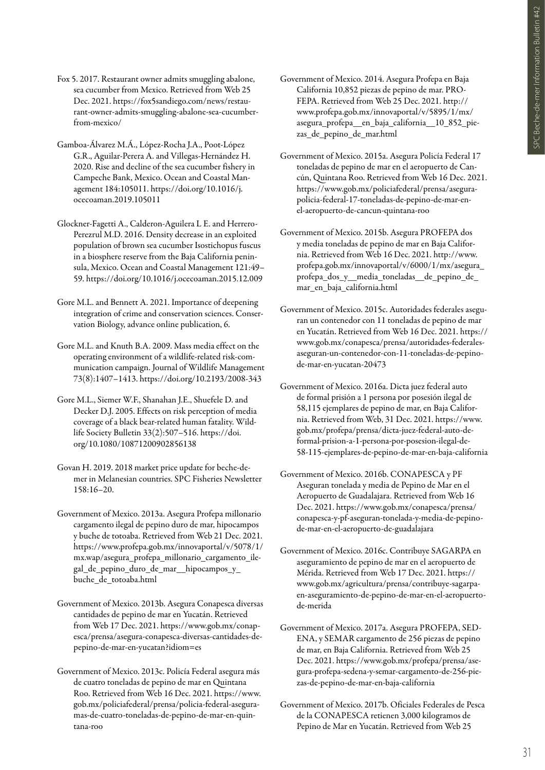- Fox 5. 2017. Restaurant owner admits smuggling abalone, sea cucumber from Mexico. Retrieved from Web 25 Dec. 2021. https://fox5sandiego.com/news/restaurant-owner-admits-smuggling-abalone-sea-cucumberfrom-mexico/
- Gamboa-Álvarez M.Á., López-Rocha J.A., Poot-López G.R., Aguilar-Perera A. and Villegas-Hernández H. 2020. Rise and decline of the sea cucumber fishery in Campeche Bank, Mexico. Ocean and Coastal Management 184:105011. https://doi.org/10.1016/j. ocecoaman.2019.105011
- Glockner-Fagetti A., Calderon-Aguilera L E. and Herrero-Perezrul M.D. 2016. Density decrease in an exploited population of brown sea cucumber Isostichopus fuscus in a biosphere reserve from the Baja California peninsula, Mexico. Ocean and Coastal Management 121:49– 59. https://doi.org/10.1016/j.ocecoaman.2015.12.009
- Gore M.L. and Bennett A. 2021. Importance of deepening integration of crime and conservation sciences. Conservation Biology, advance online publication, 6.
- Gore M.L. and Knuth B.A. 2009. Mass media effect on the operating environment of a wildlife-related risk-communication campaign. Journal of Wildlife Management 73(8):1407–1413. https://doi.org/10.2193/2008-343
- Gore M.L., Siemer W.F., Shanahan J.E., Shuefele D. and Decker D.J. 2005. Effects on risk perception of media coverage of a black bear-related human fatality. Wildlife Society Bulletin 33(2):507–516. https://doi. org/10.1080/10871200902856138
- Govan H. 2019. 2018 market price update for beche-demer in Melanesian countries. SPC Fisheries Newsletter 158:16–20.
- Government of Mexico. 2013a. Asegura Profepa millonario cargamento ilegal de pepino duro de mar, hipocampos y buche de totoaba. Retrieved from Web 21 Dec. 2021. https://www.profepa.gob.mx/innovaportal/v/5078/1/ mx.wap/asegura\_profepa\_millonario\_cargamento\_ilegal\_de\_pepino\_duro\_de\_mar\_\_hipocampos\_y\_ buche\_de\_totoaba.html
- Government of Mexico. 2013b. Asegura Conapesca diversas cantidades de pepino de mar en Yucatán. Retrieved from Web 17 Dec. 2021. https://www.gob.mx/conapesca/prensa/asegura-conapesca-diversas-cantidades-depepino-de-mar-en-yucatan?idiom=es
- Government of Mexico. 2013c. Policía Federal asegura más de cuatro toneladas de pepino de mar en Quintana Roo. Retrieved from Web 16 Dec. 2021. https://www. gob.mx/policiafederal/prensa/policia-federal-aseguramas-de-cuatro-toneladas-de-pepino-de-mar-en-quintana-roo
- Government of Mexico. 2014. Asegura Profepa en Baja California 10,852 piezas de pepino de mar. PRO-FEPA. Retrieved from Web 25 Dec. 2021. http:// www.profepa.gob.mx/innovaportal/v/5895/1/mx/ asegura\_profepa\_\_en\_baja\_california\_\_10\_852\_piezas\_de\_pepino\_de\_mar.html
- Government of Mexico. 2015a. Asegura Policía Federal 17 toneladas de pepino de mar en el aeropuerto de Cancún, Quintana Roo. Retrieved from Web 16 Dec. 2021. https://www.gob.mx/policiafederal/prensa/asegurapolicia-federal-17-toneladas-de-pepino-de-mar-enel-aeropuerto-de-cancun-quintana-roo
- Government of Mexico. 2015b. Asegura PROFEPA dos y media toneladas de pepino de mar en Baja California. Retrieved from Web 16 Dec. 2021. http://www. profepa.gob.mx/innovaportal/v/6000/1/mx/asegura\_ profepa\_dos\_y\_\_media\_toneladas\_\_de\_pepino\_de\_ mar\_en\_baja\_california.html
- Government of Mexico. 2015c. Autoridades federales aseguran un contenedor con 11 toneladas de pepino de mar en Yucatán. Retrieved from Web 16 Dec. 2021. https:// www.gob.mx/conapesca/prensa/autoridades-federalesaseguran-un-contenedor-con-11-toneladas-de-pepinode-mar-en-yucatan-20473
- Government of Mexico. 2016a. Dicta juez federal auto de formal prisión a 1 persona por posesión ilegal de 58,115 ejemplares de pepino de mar, en Baja California. Retrieved from Web, 31 Dec. 2021. https://www. gob.mx/profepa/prensa/dicta-juez-federal-auto-deformal-prision-a-1-persona-por-posesion-ilegal-de-58-115-ejemplares-de-pepino-de-mar-en-baja-california
- Government of Mexico. 2016b. CONAPESCA y PF Aseguran tonelada y media de Pepino de Mar en el Aeropuerto de Guadalajara. Retrieved from Web 16 Dec. 2021. https://www.gob.mx/conapesca/prensa/ conapesca-y-pf-aseguran-tonelada-y-media-de-pepinode-mar-en-el-aeropuerto-de-guadalajara
- Government of Mexico. 2016c. Contribuye SAGARPA en aseguramiento de pepino de mar en el aeropuerto de Mérida. Retrieved from Web 17 Dec. 2021. https:// www.gob.mx/agricultura/prensa/contribuye-sagarpaen-aseguramiento-de-pepino-de-mar-en-el-aeropuertode-merida
- Government of Mexico. 2017a. Asegura PROFEPA, SED-ENA, y SEMAR cargamento de 256 piezas de pepino de mar, en Baja California. Retrieved from Web 25 Dec. 2021. https://www.gob.mx/profepa/prensa/asegura-profepa-sedena-y-semar-cargamento-de-256-piezas-de-pepino-de-mar-en-baja-california
- Government of Mexico. 2017b. Oficiales Federales de Pesca de la CONAPESCA retienen 3,000 kilogramos de Pepino de Mar en Yucatán. Retrieved from Web 25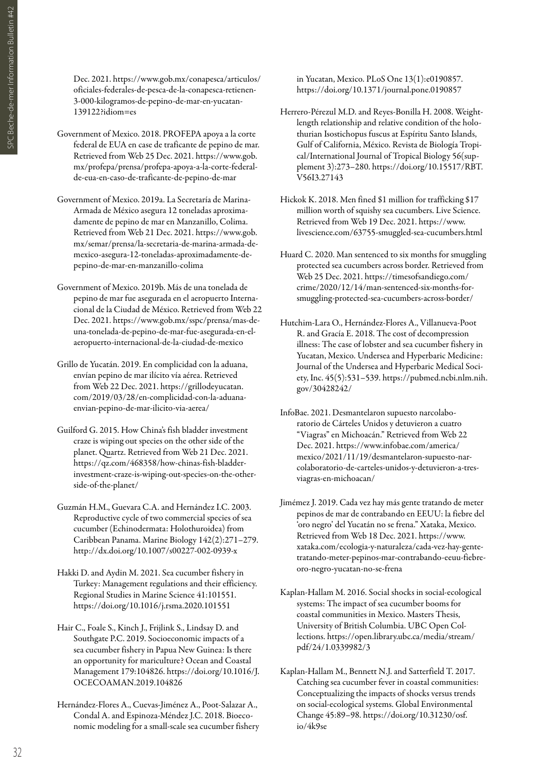Dec. 2021. https://www.gob.mx/conapesca/articulos/ oficiales-federales-de-pesca-de-la-conapesca-retienen-3-000-kilogramos-de-pepino-de-mar-en-yucatan-139122?idiom=es

- Government of Mexico. 2018. PROFEPA apoya a la corte federal de EUA en case de traficante de pepino de mar. Retrieved from Web 25 Dec. 2021. https://www.gob. mx/profepa/prensa/profepa-apoya-a-la-corte-federalde-eua-en-caso-de-traficante-de-pepino-de-mar
- Government of Mexico. 2019a. La Secretaría de Marina-Armada de México asegura 12 toneladas aproximadamente de pepino de mar en Manzanillo, Colima. Retrieved from Web 21 Dec. 2021. https://www.gob. mx/semar/prensa/la-secretaria-de-marina-armada-demexico-asegura-12-toneladas-aproximadamente-depepino-de-mar-en-manzanillo-colima
- Government of Mexico. 2019b. Más de una tonelada de pepino de mar fue asegurada en el aeropuerto Internacional de la Ciudad de México. Retrieved from Web 22 Dec. 2021. https://www.gob.mx/sspc/prensa/mas-deuna-tonelada-de-pepino-de-mar-fue-asegurada-en-elaeropuerto-internacional-de-la-ciudad-de-mexico
- Grillo de Yucatán. 2019. En complicidad con la aduana, envían pepino de mar ilícito vía aérea. Retrieved from Web 22 Dec. 2021. https://grillodeyucatan. com/2019/03/28/en-complicidad-con-la-aduanaenvian-pepino-de-mar-ilicito-via-aerea/
- Guilford G. 2015. How China's fish bladder investment craze is wiping out species on the other side of the planet. Quartz. Retrieved from Web 21 Dec. 2021. https://qz.com/468358/how-chinas-fish-bladderinvestment-craze-is-wiping-out-species-on-the-otherside-of-the-planet/
- Guzmán H.M., Guevara C.A. and Hernández I.C. 2003. Reproductive cycle of two commercial species of sea cucumber (Echinodermata: Holothuroidea) from Caribbean Panama. Marine Biology 142(2):271–279. http://dx.doi.org/10.1007/s00227-002-0939-x
- Hakki D. and Aydin M. 2021. Sea cucumber fishery in Turkey: Management regulations and their efficiency. Regional Studies in Marine Science 41:101551. https://doi.org/10.1016/j.rsma.2020.101551
- Hair C., Foale S., Kinch J., Frijlink S., Lindsay D. and Southgate P.C. 2019. Socioeconomic impacts of a sea cucumber fishery in Papua New Guinea: Is there an opportunity for mariculture? Ocean and Coastal Management 179:104826. https://doi.org/10.1016/J. OCECOAMAN.2019.104826
- Hernández-Flores A., Cuevas-Jiménez A., Poot-Salazar A., Condal A. and Espinoza-Méndez J.C. 2018. Bioeconomic modeling for a small-scale sea cucumber fishery

in Yucatan, Mexico. PLoS One 13(1):e0190857. https://doi.org/10.1371/journal.pone.0190857

- Herrero-Pérezul M.D. and Reyes-Bonilla H. 2008. Weightlength relationship and relative condition of the holothurian Isostichopus fuscus at Espíritu Santo Islands, Gulf of California, México. Revista de Biología Tropical/International Journal of Tropical Biology 56(supplement 3):273–280. https://doi.org/10.15517/RBT. V56I3.27143
- Hickok K. 2018. Men fined \$1 million for trafficking \$17 million worth of squishy sea cucumbers. Live Science. Retrieved from Web 19 Dec. 2021. https://www. livescience.com/63755-smuggled-sea-cucumbers.html
- Huard C. 2020. Man sentenced to six months for smuggling protected sea cucumbers across border. Retrieved from Web 25 Dec. 2021. https://timesofsandiego.com/ crime/2020/12/14/man-sentenced-six-months-forsmuggling-protected-sea-cucumbers-across-border/
- Hutchim-Lara O., Hernández-Flores A., Villanueva-Poot R. and Gracía E. 2018. The cost of decompression illness: The case of lobster and sea cucumber fishery in Yucatan, Mexico. Undersea and Hyperbaric Medicine: Journal of the Undersea and Hyperbaric Medical Society, Inc. 45(5):531–539. https://pubmed.ncbi.nlm.nih. gov/30428242/
- InfoBae. 2021. Desmantelaron supuesto narcolaboratorio de Cárteles Unidos y detuvieron a cuatro "Viagras" en Michoacán." Retrieved from Web 22 Dec. 2021. https://www.infobae.com/america/ mexico/2021/11/19/desmantelaron-supuesto-narcolaboratorio-de-carteles-unidos-y-detuvieron-a-tresviagras-en-michoacan/
- Jimémez J. 2019. Cada vez hay más gente tratando de meter pepinos de mar de contrabando en EEUU: la fiebre del 'oro negro' del Yucatán no se frena." Xataka, Mexico. Retrieved from Web 18 Dec. 2021. https://www. xataka.com/ecologia-y-naturaleza/cada-vez-hay-gentetratando-meter-pepinos-mar-contrabando-eeuu-fiebreoro-negro-yucatan-no-se-frena
- Kaplan-Hallam M. 2016. Social shocks in social-ecological systems: The impact of sea cucumber booms for coastal communities in Mexico. Masters Thesis, University of British Columbia. UBC Open Collections. https://open.library.ubc.ca/media/stream/ pdf/24/1.0339982/3
- Kaplan-Hallam M., Bennett N.J. and Satterfield T. 2017. Catching sea cucumber fever in coastal communities: Conceptualizing the impacts of shocks versus trends on social-ecological systems. Global Environmental Change 45:89–98. https://doi.org/10.31230/osf. io/4k9se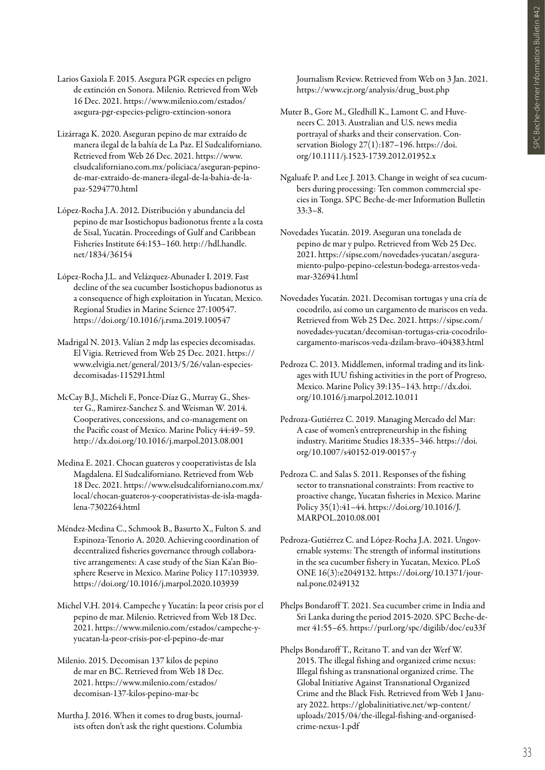Larios Gaxiola F. 2015. Asegura PGR especies en peligro de extinción en Sonora. Milenio. Retrieved from Web 16 Dec. 2021. https://www.milenio.com/estados/ asegura-pgr-especies-peligro-extincion-sonora

- Lizárraga K. 2020. Aseguran pepino de mar extraído de manera ilegal de la bahía de La Paz. El Sudcaliforniano. Retrieved from Web 26 Dec. 2021. https://www. elsudcaliforniano.com.mx/policiaca/aseguran-pepinode-mar-extraido-de-manera-ilegal-de-la-bahia-de-lapaz-5294770.html
- López-Rocha J.A. 2012. Distribución y abundancia del pepino de mar Isostichopus badionotus frente a la costa de Sisal, Yucatán. Proceedings of Gulf and Caribbean Fisheries Institute 64:153–160. http://hdl.handle. net/1834/36154
- López-Rocha J.L. and Velázquez-Abunader I. 2019. Fast decline of the sea cucumber Isostichopus badionotus as a consequence of high exploitation in Yucatan, Mexico. Regional Studies in Marine Science 27:100547. https://doi.org/10.1016/j.rsma.2019.100547
- Madrigal N. 2013. Valían 2 mdp las especies decomisadas. El Vigia. Retrieved from Web 25 Dec. 2021. https:// www.elvigia.net/general/2013/5/26/valan-especiesdecomisadas-115291.html
- McCay B.J., Micheli F., Ponce-Díaz G., Murray G., Shester G., Ramirez-Sanchez S. and Weisman W. 2014. Cooperatives, concessions, and co-management on the Pacific coast of Mexico. Marine Policy 44:49–59. http://dx.doi.org/10.1016/j.marpol.2013.08.001
- Medina E. 2021. Chocan guateros y cooperativistas de Isla Magdalena. El Sudcaliforniano. Retrieved from Web 18 Dec. 2021. https://www.elsudcaliforniano.com.mx/ local/chocan-guateros-y-cooperativistas-de-isla-magdalena-7302264.html
- Méndez-Medina C., Schmook B., Basurto X., Fulton S. and Espinoza-Tenorio A. 2020. Achieving coordination of decentralized fisheries governance through collaborative arrangements: A case study of the Sian Ka'an Biosphere Reserve in Mexico. Marine Policy 117:103939. https://doi.org/10.1016/j.marpol.2020.103939
- Michel V.H. 2014. Campeche y Yucatán: la peor crisis por el pepino de mar. Milenio. Retrieved from Web 18 Dec. 2021. https://www.milenio.com/estados/campeche-yyucatan-la-peor-crisis-por-el-pepino-de-mar
- Milenio. 2015. Decomisan 137 kilos de pepino de mar en BC. Retrieved from Web 18 Dec. 2021. https://www.milenio.com/estados/ decomisan-137-kilos-pepino-mar-bc

Murtha J. 2016. When it comes to drug busts, journalists often don't ask the right questions. Columbia

Journalism Review. Retrieved from Web on 3 Jan. 2021. https://www.cjr.org/analysis/drug\_bust.php

- Muter B., Gore M., Gledhill K., Lamont C. and Huveneers C. 2013. Australian and U.S. news media portrayal of sharks and their conservation. Conservation Biology 27(1):187-196. https://doi. org/10.1111/j.1523-1739.2012.01952.x
- Ngaluafe P. and Lee J. 2013. Change in weight of sea cucumbers during processing: Ten common commercial species in Tonga. SPC Beche-de-mer Information Bulletin 33:3–8.
- Novedades Yucatán. 2019. Aseguran una tonelada de pepino de mar y pulpo. Retrieved from Web 25 Dec. 2021. https://sipse.com/novedades-yucatan/aseguramiento-pulpo-pepino-celestun-bodega-arrestos-vedamar-326941.html
- Novedades Yucatán. 2021. Decomisan tortugas y una cría de cocodrilo, así como un cargamento de mariscos en veda. Retrieved from Web 25 Dec. 2021. https://sipse.com/ novedades-yucatan/decomisan-tortugas-cria-cocodrilocargamento-mariscos-veda-dzilam-bravo-404383.html
- Pedroza C. 2013. Middlemen, informal trading and its linkages with IUU fishing activities in the port of Progreso, Mexico. Marine Policy 39:135–143. http://dx.doi. org/10.1016/j.marpol.2012.10.011
- Pedroza-Gutiérrez C. 2019. Managing Mercado del Mar: A case of women's entrepreneurship in the fishing industry. Maritime Studies 18:335–346. https://doi. org/10.1007/s40152-019-00157-y
- Pedroza C. and Salas S. 2011. Responses of the fishing sector to transnational constraints: From reactive to proactive change, Yucatan fisheries in Mexico. Marine Policy 35(1):41–44. https://doi.org/10.1016/J. MARPOL.2010.08.001
- Pedroza-Gutiérrez C. and López-Rocha J.A. 2021. Ungovernable systems: The strength of informal institutions in the sea cucumber fishery in Yucatan, Mexico. PLoS ONE 16(3):e2049132. https://doi.org/10.1371/journal.pone.0249132
- Phelps Bondaroff T. 2021. Sea cucumber crime in India and Sri Lanka during the period 2015-2020. SPC Beche-demer 41:55–65. https://purl.org/spc/digilib/doc/eu33f
- Phelps Bondaroff T., Reitano T. and van der Werf W. 2015. The illegal fishing and organized crime nexus: Illegal fishing as transnational organized crime. The Global Initiative Against Transnational Organized Crime and the Black Fish. Retrieved from Web 1 January 2022. https://globalinitiative.net/wp-content/ uploads/2015/04/the-illegal-fishing-and-organisedcrime-nexus-1.pdf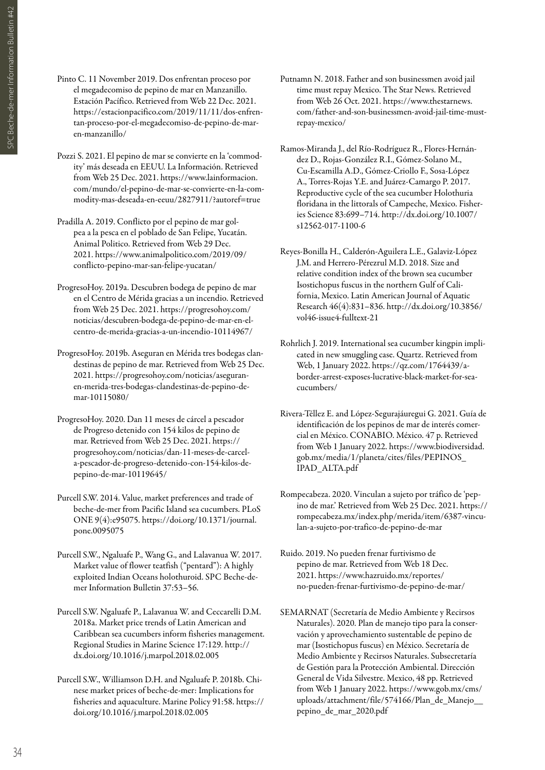- Pinto C. 11 November 2019. Dos enfrentan proceso por el megadecomiso de pepino de mar en Manzanillo. Estación Pacífico. Retrieved from Web 22 Dec. 2021. https://estacionpacifico.com/2019/11/11/dos-enfrentan-proceso-por-el-megadecomiso-de-pepino-de-maren-manzanillo/
- Pozzi S. 2021. El pepino de mar se convierte en la 'commodity' más deseada en EEUU. La Información. Retrieved from Web 25 Dec. 2021. https://www.lainformacion. com/mundo/el-pepino-de-mar-se-convierte-en-la-commodity-mas-deseada-en-eeuu/2827911/?autoref=true
- Pradilla A. 2019. Conflicto por el pepino de mar golpea a la pesca en el poblado de San Felipe, Yucatán. Animal Politico. Retrieved from Web 29 Dec. 2021. https://www.animalpolitico.com/2019/09/ conflicto-pepino-mar-san-felipe-yucatan/
- ProgresoHoy. 2019a. Descubren bodega de pepino de mar en el Centro de Mérida gracias a un incendio. Retrieved from Web 25 Dec. 2021. https://progresohoy.com/ noticias/descubren-bodega-de-pepino-de-mar-en-elcentro-de-merida-gracias-a-un-incendio-10114967/
- ProgresoHoy. 2019b. Aseguran en Mérida tres bodegas clandestinas de pepino de mar. Retrieved from Web 25 Dec. 2021. https://progresohoy.com/noticias/aseguranen-merida-tres-bodegas-clandestinas-de-pepino-demar-10115080/
- ProgresoHoy. 2020. Dan 11 meses de cárcel a pescador de Progreso detenido con 154 kilos de pepino de mar. Retrieved from Web 25 Dec. 2021. https:// progresohoy.com/noticias/dan-11-meses-de-carcela-pescador-de-progreso-detenido-con-154-kilos-depepino-de-mar-10119645/
- Purcell S.W. 2014. Value, market preferences and trade of beche-de-mer from Pacific Island sea cucumbers. PLoS ONE 9(4):e95075. https://doi.org/10.1371/journal. pone.0095075
- Purcell S.W., Ngaluafe P., Wang G., and Lalavanua W. 2017. Market value of flower teatfish ("pentard"): A highly exploited Indian Oceans holothuroid. SPC Beche-demer Information Bulletin 37:53–56.
- Purcell S.W. Ngaluafe P., Lalavanua W. and Ceccarelli D.M. 2018a. Market price trends of Latin American and Caribbean sea cucumbers inform fisheries management. Regional Studies in Marine Science 17:129. http:// dx.doi.org/10.1016/j.marpol.2018.02.005
- Purcell S.W., Williamson D.H. and Ngaluafe P. 2018b. Chinese market prices of beche-de-mer: Implications for fisheries and aquaculture. Marine Policy 91:58. https:// doi.org/10.1016/j.marpol.2018.02.005
- Putnamn N. 2018. Father and son businessmen avoid jail time must repay Mexico. The Star News. Retrieved from Web 26 Oct. 2021. https://www.thestarnews. com/father-and-son-businessmen-avoid-jail-time-mustrepay-mexico/
- Ramos-Miranda J., del Río-Rodríguez R., Flores-Hernández D., Rojas-González R.I., Gómez-Solano M., Cu-Escamilla A.D., Gómez-Criollo F., Sosa-López A., Torres-Rojas Y.E. and Juárez-Camargo P. 2017. Reproductive cycle of the sea cucumber Holothuria floridana in the littorals of Campeche, Mexico. Fisheries Science 83:699–714. http://dx.doi.org/10.1007/ s12562-017-1100-6
- Reyes-Bonilla H., Calderón-Aguilera L.E., Galaviz-López J.M. and Herrero-Pérezrul M.D. 2018. Size and relative condition index of the brown sea cucumber Isostichopus fuscus in the northern Gulf of California, Mexico. Latin American Journal of Aquatic Research 46(4):831–836. http://dx.doi.org/10.3856/ vol46-issue4-fulltext-21
- Rohrlich J. 2019. International sea cucumber kingpin implicated in new smuggling case. Quartz. Retrieved from Web, 1 January 2022. https://qz.com/1764439/aborder-arrest-exposes-lucrative-black-market-for-seacucumbers/
- Rivera-Téllez E. and López-Segurajáuregui G. 2021. Guía de identificación de los pepinos de mar de interés comercial en México. CONABIO. México. 47 p. Retrieved from Web 1 January 2022. https://www.biodiversidad. gob.mx/media/1/planeta/cites/files/PEPINOS\_ IPAD\_ALTA.pdf
- Rompecabeza. 2020. Vinculan a sujeto por tráfico de 'pepino de mar.' Retrieved from Web 25 Dec. 2021. https:// rompecabeza.mx/index.php/merida/item/6387-vinculan-a-sujeto-por-trafico-de-pepino-de-mar
- Ruido. 2019. No pueden frenar furtivismo de pepino de mar. Retrieved from Web 18 Dec. 2021. https://www.hazruido.mx/reportes/ no-pueden-frenar-furtivismo-de-pepino-de-mar/
- SEMARNAT (Secretaría de Medio Ambiente y Recirsos Naturales). 2020. Plan de manejo tipo para la conservación y aprovechamiento sustentable de pepino de mar (Isostichopus fuscus) en México. Secretaría de Medio Ambiente y Recirsos Naturales. Subsecretaría de Gestión para la Protección Ambiental. Dirección General de Vida Silvestre. Mexico, 48 pp. Retrieved from Web 1 January 2022. https://www.gob.mx/cms/ uploads/attachment/file/574166/Plan\_de\_Manejo\_\_ pepino\_de\_mar\_2020.pdf